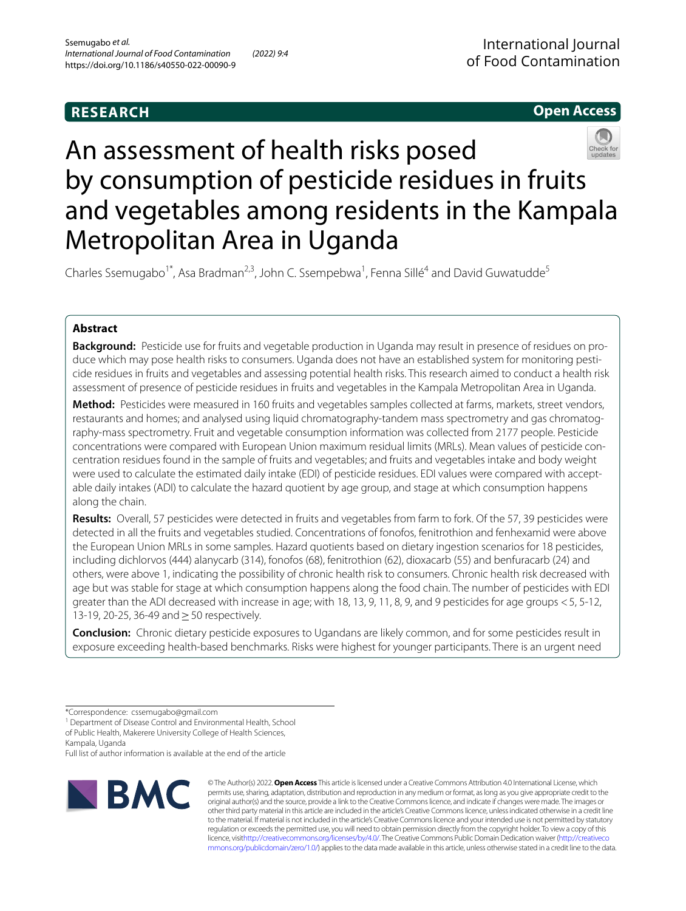# **RESEARCH**

# **Open Access**



# An assessment of health risks posed by consumption of pesticide residues in fruits and vegetables among residents in the Kampala Metropolitan Area in Uganda

Charles Ssemugabo<sup>1\*</sup>, Asa Bradman<sup>2,3</sup>, John C. Ssempebwa<sup>1</sup>, Fenna Sillé<sup>4</sup> and David Guwatudde<sup>5</sup>

# **Abstract**

**Background:** Pesticide use for fruits and vegetable production in Uganda may result in presence of residues on produce which may pose health risks to consumers. Uganda does not have an established system for monitoring pesticide residues in fruits and vegetables and assessing potential health risks. This research aimed to conduct a health risk assessment of presence of pesticide residues in fruits and vegetables in the Kampala Metropolitan Area in Uganda.

**Method:** Pesticides were measured in 160 fruits and vegetables samples collected at farms, markets, street vendors, restaurants and homes; and analysed using liquid chromatography-tandem mass spectrometry and gas chromatography-mass spectrometry. Fruit and vegetable consumption information was collected from 2177 people. Pesticide concentrations were compared with European Union maximum residual limits (MRLs). Mean values of pesticide concentration residues found in the sample of fruits and vegetables; and fruits and vegetables intake and body weight were used to calculate the estimated daily intake (EDI) of pesticide residues. EDI values were compared with acceptable daily intakes (ADI) to calculate the hazard quotient by age group, and stage at which consumption happens along the chain.

**Results:** Overall, 57 pesticides were detected in fruits and vegetables from farm to fork. Of the 57, 39 pesticides were detected in all the fruits and vegetables studied. Concentrations of fonofos, fenitrothion and fenhexamid were above the European Union MRLs in some samples. Hazard quotients based on dietary ingestion scenarios for 18 pesticides, including dichlorvos (444) alanycarb (314), fonofos (68), fenitrothion (62), dioxacarb (55) and benfuracarb (24) and others, were above 1, indicating the possibility of chronic health risk to consumers. Chronic health risk decreased with age but was stable for stage at which consumption happens along the food chain. The number of pesticides with EDI greater than the ADI decreased with increase in age; with 18, 13, 9, 11, 8, 9, and 9 pesticides for age groups <5, 5-12, 13-19, 20-25, 36-49 and ≥ 50 respectively.

**Conclusion:** Chronic dietary pesticide exposures to Ugandans are likely common, and for some pesticides result in exposure exceeding health-based benchmarks. Risks were highest for younger participants. There is an urgent need

<sup>1</sup> Department of Disease Control and Environmental Health, School of Public Health, Makerere University College of Health Sciences,

Kampala, Uganda

Full list of author information is available at the end of the article



© The Author(s) 2022. **Open Access** This article is licensed under a Creative Commons Attribution 4.0 International License, which permits use, sharing, adaptation, distribution and reproduction in any medium or format, as long as you give appropriate credit to the original author(s) and the source, provide a link to the Creative Commons licence, and indicate if changes were made. The images or other third party material in this article are included in the article's Creative Commons licence, unless indicated otherwise in a credit line to the material. If material is not included in the article's Creative Commons licence and your intended use is not permitted by statutory regulation or exceeds the permitted use, you will need to obtain permission directly from the copyright holder. To view a copy of this licence, visi[thttp://creativecommons.org/licenses/by/4.0/](http://creativecommons.org/licenses/by/4.0/). The Creative Commons Public Domain Dedication waiver [\(http://creativeco](http://creativecommons.org/publicdomain/zero/1.0/) [mmons.org/publicdomain/zero/1.0/](http://creativecommons.org/publicdomain/zero/1.0/)) applies to the data made available in this article, unless otherwise stated in a credit line to the data.

<sup>\*</sup>Correspondence: cssemugabo@gmail.com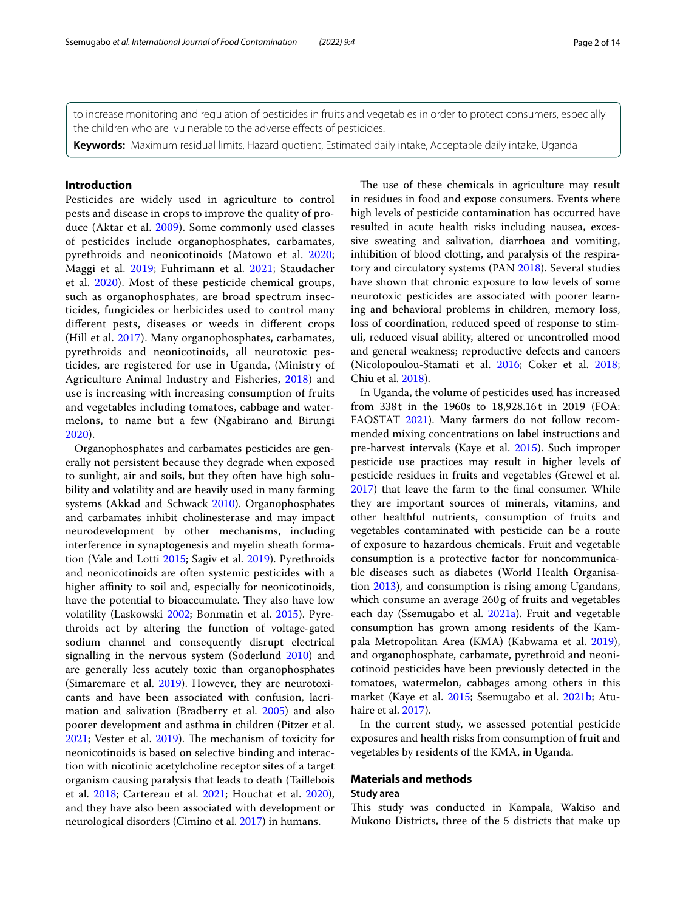**Keywords:** Maximum residual limits, Hazard quotient, Estimated daily intake, Acceptable daily intake, Uganda

# **Introduction**

Pesticides are widely used in agriculture to control pests and disease in crops to improve the quality of produce (Aktar et al. [2009](#page-11-0)). Some commonly used classes of pesticides include organophosphates, carbamates, pyrethroids and neonicotinoids (Matowo et al. [2020](#page-12-0); Maggi et al. [2019](#page-12-1); Fuhrimann et al. [2021](#page-12-2); Staudacher et al. [2020](#page-12-3)). Most of these pesticide chemical groups, such as organophosphates, are broad spectrum insecticides, fungicides or herbicides used to control many diferent pests, diseases or weeds in diferent crops (Hill et al. [2017](#page-12-4)). Many organophosphates, carbamates, pyrethroids and neonicotinoids, all neurotoxic pesticides, are registered for use in Uganda, (Ministry of Agriculture Animal Industry and Fisheries, [2018\)](#page-12-5) and use is increasing with increasing consumption of fruits and vegetables including tomatoes, cabbage and watermelons, to name but a few (Ngabirano and Birungi [2020\)](#page-12-6).

Organophosphates and carbamates pesticides are generally not persistent because they degrade when exposed to sunlight, air and soils, but they often have high solubility and volatility and are heavily used in many farming systems (Akkad and Schwack [2010\)](#page-11-1). Organophosphates and carbamates inhibit cholinesterase and may impact neurodevelopment by other mechanisms, including interference in synaptogenesis and myelin sheath formation (Vale and Lotti [2015](#page-13-0); Sagiv et al. [2019](#page-12-7)). Pyrethroids and neonicotinoids are often systemic pesticides with a higher affinity to soil and, especially for neonicotinoids, have the potential to bioaccumulate. They also have low volatility (Laskowski [2002;](#page-12-8) Bonmatin et al. [2015](#page-11-2)). Pyrethroids act by altering the function of voltage-gated sodium channel and consequently disrupt electrical signalling in the nervous system (Soderlund [2010](#page-12-9)) and are generally less acutely toxic than organophosphates (Simaremare et al. [2019](#page-12-10)). However, they are neurotoxicants and have been associated with confusion, lacrimation and salivation (Bradberry et al. [2005](#page-11-3)) and also poorer development and asthma in children (Pitzer et al. [2021](#page-12-11); Vester et al. [2019\)](#page-13-1). The mechanism of toxicity for neonicotinoids is based on selective binding and interaction with nicotinic acetylcholine receptor sites of a target organism causing paralysis that leads to death (Taillebois et al. [2018;](#page-13-2) Cartereau et al. [2021;](#page-11-4) Houchat et al. [2020](#page-12-12)), and they have also been associated with development or neurological disorders (Cimino et al. [2017\)](#page-11-5) in humans.

The use of these chemicals in agriculture may result in residues in food and expose consumers. Events where high levels of pesticide contamination has occurred have resulted in acute health risks including nausea, excessive sweating and salivation, diarrhoea and vomiting, inhibition of blood clotting, and paralysis of the respiratory and circulatory systems (PAN [2018](#page-12-13)). Several studies have shown that chronic exposure to low levels of some neurotoxic pesticides are associated with poorer learning and behavioral problems in children, memory loss, loss of coordination, reduced speed of response to stimuli, reduced visual ability, altered or uncontrolled mood and general weakness; reproductive defects and cancers (Nicolopoulou-Stamati et al. [2016](#page-12-14); Coker et al. [2018](#page-11-6); Chiu et al. [2018](#page-11-7)).

In Uganda, the volume of pesticides used has increased from 338t in the 1960s to 18,928.16t in 2019 (FOA: FAOSTAT [2021\)](#page-12-15). Many farmers do not follow recommended mixing concentrations on label instructions and pre-harvest intervals (Kaye et al. [2015\)](#page-12-16). Such improper pesticide use practices may result in higher levels of pesticide residues in fruits and vegetables (Grewel et al. [2017](#page-12-17)) that leave the farm to the fnal consumer. While they are important sources of minerals, vitamins, and other healthful nutrients, consumption of fruits and vegetables contaminated with pesticide can be a route of exposure to hazardous chemicals. Fruit and vegetable consumption is a protective factor for noncommunicable diseases such as diabetes (World Health Organisation [2013](#page-13-3)), and consumption is rising among Ugandans, which consume an average 260 g of fruits and vegetables each day (Ssemugabo et al. [2021a\)](#page-12-18). Fruit and vegetable consumption has grown among residents of the Kampala Metropolitan Area (KMA) (Kabwama et al. [2019](#page-12-19)), and organophosphate, carbamate, pyrethroid and neonicotinoid pesticides have been previously detected in the tomatoes, watermelon, cabbages among others in this market (Kaye et al. [2015](#page-12-16); Ssemugabo et al. [2021b;](#page-12-20) Atuhaire et al. [2017\)](#page-11-8).

In the current study, we assessed potential pesticide exposures and health risks from consumption of fruit and vegetables by residents of the KMA, in Uganda.

# **Materials and methods**

# **Study area**

This study was conducted in Kampala, Wakiso and Mukono Districts, three of the 5 districts that make up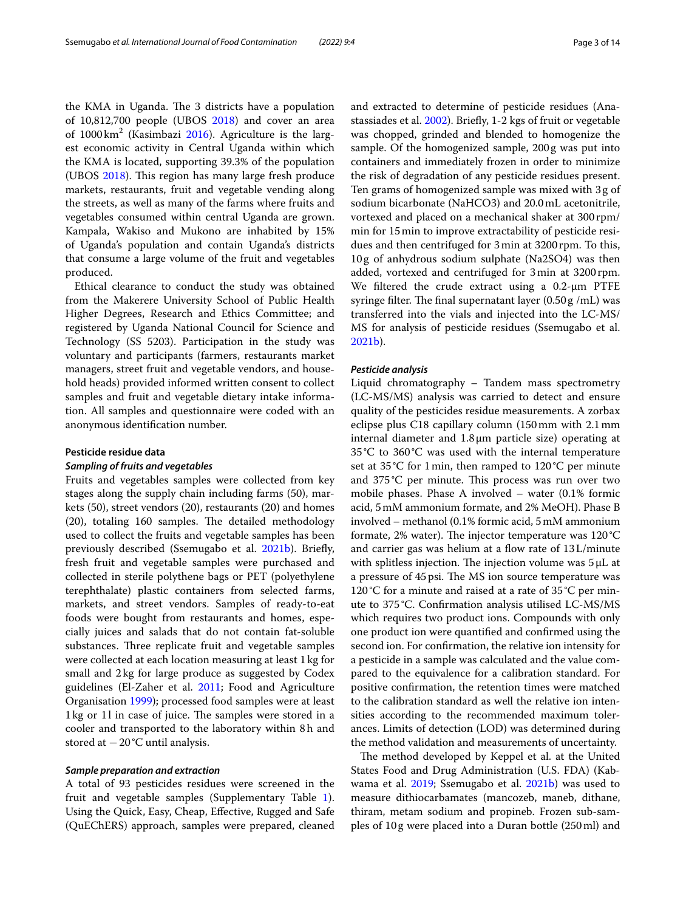the KMA in Uganda. The 3 districts have a population of 10,812,700 people (UBOS [2018\)](#page-13-4) and cover an area of  $1000 \text{ km}^2$  (Kasimbazi [2016](#page-12-21)). Agriculture is the largest economic activity in Central Uganda within which the KMA is located, supporting 39.3% of the population (UBOS [2018\)](#page-13-4). This region has many large fresh produce markets, restaurants, fruit and vegetable vending along the streets, as well as many of the farms where fruits and vegetables consumed within central Uganda are grown. Kampala, Wakiso and Mukono are inhabited by 15% of Uganda's population and contain Uganda's districts that consume a large volume of the fruit and vegetables produced.

Ethical clearance to conduct the study was obtained from the Makerere University School of Public Health Higher Degrees, Research and Ethics Committee; and registered by Uganda National Council for Science and Technology (SS 5203). Participation in the study was voluntary and participants (farmers, restaurants market managers, street fruit and vegetable vendors, and household heads) provided informed written consent to collect samples and fruit and vegetable dietary intake information. All samples and questionnaire were coded with an anonymous identifcation number.

# **Pesticide residue data**

# *Sampling of fruits and vegetables*

Fruits and vegetables samples were collected from key stages along the supply chain including farms (50), markets (50), street vendors (20), restaurants (20) and homes  $(20)$ , totaling 160 samples. The detailed methodology used to collect the fruits and vegetable samples has been previously described (Ssemugabo et al. [2021b](#page-12-20)). Briefy, fresh fruit and vegetable samples were purchased and collected in sterile polythene bags or PET (polyethylene terephthalate) plastic containers from selected farms, markets, and street vendors. Samples of ready-to-eat foods were bought from restaurants and homes, especially juices and salads that do not contain fat-soluble substances. Three replicate fruit and vegetable samples were collected at each location measuring at least 1kg for small and 2kg for large produce as suggested by Codex guidelines (El-Zaher et al. [2011;](#page-12-22) Food and Agriculture Organisation [1999](#page-12-23)); processed food samples were at least 1kg or 11 in case of juice. The samples were stored in a cooler and transported to the laboratory within 8h and stored at −20°C until analysis.

# *Sample preparation and extraction*

A total of 93 pesticides residues were screened in the fruit and vegetable samples (Supplementary Table [1](#page-11-9)). Using the Quick, Easy, Cheap, Efective, Rugged and Safe (QuEChERS) approach, samples were prepared, cleaned and extracted to determine of pesticide residues (Anastassiades et al. [2002](#page-11-10)). Briefy, 1-2 kgs of fruit or vegetable was chopped, grinded and blended to homogenize the sample. Of the homogenized sample, 200g was put into containers and immediately frozen in order to minimize the risk of degradation of any pesticide residues present. Ten grams of homogenized sample was mixed with 3g of sodium bicarbonate (NaHCO3) and 20.0mL acetonitrile, vortexed and placed on a mechanical shaker at 300 rpm/ min for 15min to improve extractability of pesticide residues and then centrifuged for 3min at 3200 rpm. To this, 10g of anhydrous sodium sulphate (Na2SO4) was then added, vortexed and centrifuged for 3min at 3200rpm. We fltered the crude extract using a 0.2-μm PTFE syringe filter. The final supernatant layer  $(0.50 g / mL)$  was transferred into the vials and injected into the LC-MS/ MS for analysis of pesticide residues (Ssemugabo et al. [2021b\)](#page-12-20).

#### *Pesticide analysis*

Liquid chromatography – Tandem mass spectrometry (LC-MS/MS) analysis was carried to detect and ensure quality of the pesticides residue measurements. A zorbax eclipse plus C18 capillary column (150mm with 2.1mm internal diameter and 1.8μm particle size) operating at 35°C to 360°C was used with the internal temperature set at 35°C for 1min, then ramped to 120°C per minute and 375°C per minute. This process was run over two mobile phases. Phase A involved – water (0.1% formic acid, 5mM ammonium formate, and 2% MeOH). Phase B involved – methanol (0.1% formic acid, 5mM ammonium formate, 2% water). The injector temperature was  $120^{\circ}$ C and carrier gas was helium at a flow rate of  $13L/min$ with splitless injection. The injection volume was  $5 \mu L$  at a pressure of 45 psi. The MS ion source temperature was 120°C for a minute and raised at a rate of 35°C per minute to 375°C. Confrmation analysis utilised LC-MS/MS which requires two product ions. Compounds with only one product ion were quantifed and confrmed using the second ion. For confrmation, the relative ion intensity for a pesticide in a sample was calculated and the value compared to the equivalence for a calibration standard. For positive confrmation, the retention times were matched to the calibration standard as well the relative ion intensities according to the recommended maximum tolerances. Limits of detection (LOD) was determined during the method validation and measurements of uncertainty.

The method developed by Keppel et al. at the United States Food and Drug Administration (U.S. FDA) (Kab-wama et al. [2019;](#page-12-19) Ssemugabo et al. [2021b\)](#page-12-20) was used to measure dithiocarbamates (mancozeb, maneb, dithane, thiram, metam sodium and propineb. Frozen sub-samples of 10g were placed into a Duran bottle (250ml) and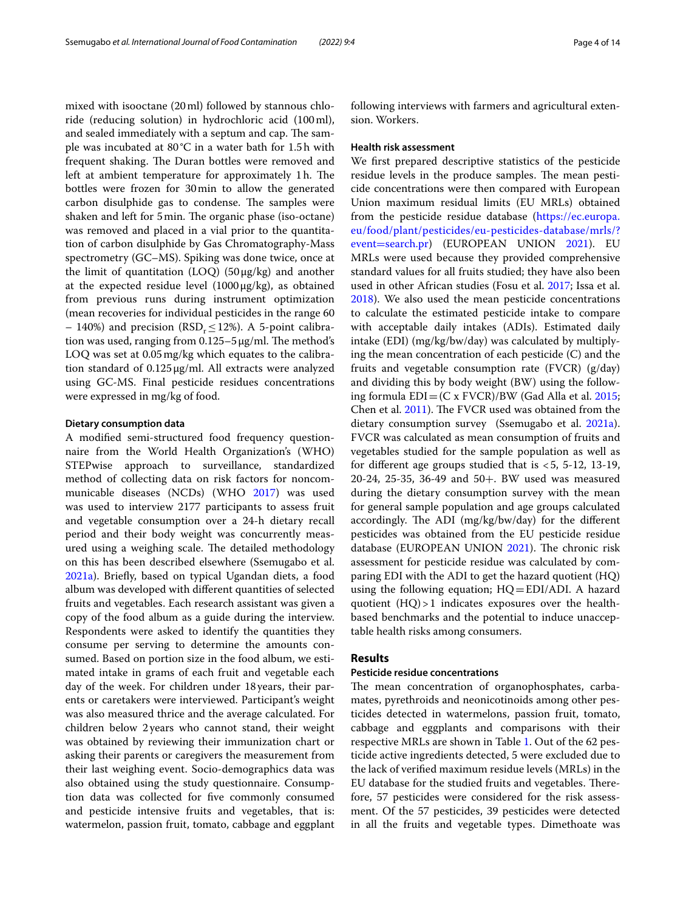mixed with isooctane (20ml) followed by stannous chloride (reducing solution) in hydrochloric acid (100ml), and sealed immediately with a septum and cap. The sample was incubated at 80°C in a water bath for 1.5h with frequent shaking. The Duran bottles were removed and left at ambient temperature for approximately 1h. The bottles were frozen for 30min to allow the generated carbon disulphide gas to condense. The samples were shaken and left for 5 min. The organic phase (iso-octane) was removed and placed in a vial prior to the quantitation of carbon disulphide by Gas Chromatography-Mass spectrometry (GC–MS). Spiking was done twice, once at the limit of quantitation  $(LOQ)$  (50  $\mu$ g/kg) and another at the expected residue level  $(1000 \mu g/kg)$ , as obtained from previous runs during instrument optimization (mean recoveries for individual pesticides in the range 60 – 140%) and precision (RSD<sub>r</sub> $\leq$ 12%). A 5-point calibration was used, ranging from  $0.125 - 5 \mu g/ml$ . The method's LOQ was set at 0.05mg/kg which equates to the calibration standard of 0.125μg/ml. All extracts were analyzed using GC-MS. Final pesticide residues concentrations were expressed in mg/kg of food.

#### **Dietary consumption data**

A modifed semi-structured food frequency questionnaire from the World Health Organization's (WHO) STEPwise approach to surveillance, standardized method of collecting data on risk factors for noncommunicable diseases (NCDs) (WHO [2017\)](#page-13-5) was used was used to interview 2177 participants to assess fruit and vegetable consumption over a 24-h dietary recall period and their body weight was concurrently measured using a weighing scale. The detailed methodology on this has been described elsewhere (Ssemugabo et al. [2021a\)](#page-12-18). Briefy, based on typical Ugandan diets, a food album was developed with diferent quantities of selected fruits and vegetables. Each research assistant was given a copy of the food album as a guide during the interview. Respondents were asked to identify the quantities they consume per serving to determine the amounts consumed. Based on portion size in the food album, we estimated intake in grams of each fruit and vegetable each day of the week. For children under 18years, their parents or caretakers were interviewed. Participant's weight was also measured thrice and the average calculated. For children below 2years who cannot stand, their weight was obtained by reviewing their immunization chart or asking their parents or caregivers the measurement from their last weighing event. Socio-demographics data was also obtained using the study questionnaire. Consumption data was collected for fve commonly consumed and pesticide intensive fruits and vegetables, that is: watermelon, passion fruit, tomato, cabbage and eggplant following interviews with farmers and agricultural extension. Workers.

#### **Health risk assessment**

We frst prepared descriptive statistics of the pesticide residue levels in the produce samples. The mean pesticide concentrations were then compared with European Union maximum residual limits (EU MRLs) obtained from the pesticide residue database ([https://ec.europa.](https://ec.europa.eu/food/plant/pesticides/eu-pesticides-database/mrls/?event=search.pr) [eu/food/plant/pesticides/eu-pesticides-database/mrls/?](https://ec.europa.eu/food/plant/pesticides/eu-pesticides-database/mrls/?event=search.pr) event=[search.pr](https://ec.europa.eu/food/plant/pesticides/eu-pesticides-database/mrls/?event=search.pr)) (EUROPEAN UNION [2021](#page-12-24)). EU MRLs were used because they provided comprehensive standard values for all fruits studied; they have also been used in other African studies (Fosu et al. [2017](#page-12-25); Issa et al. [2018](#page-12-26)). We also used the mean pesticide concentrations to calculate the estimated pesticide intake to compare with acceptable daily intakes (ADIs). Estimated daily intake (EDI) (mg/kg/bw/day) was calculated by multiplying the mean concentration of each pesticide (C) and the fruits and vegetable consumption rate (FVCR) (g/day) and dividing this by body weight (BW) using the following formula  $EDI = (C \times FVCR)/BW$  (Gad Alla et al. [2015](#page-12-27); Chen et al.  $2011$ ). The FVCR used was obtained from the dietary consumption survey (Ssemugabo et al. [2021a](#page-12-18)). FVCR was calculated as mean consumption of fruits and vegetables studied for the sample population as well as for different age groups studied that is  $<$  5, 5-12, 13-19, 20-24, 25-35, 36-49 and 50+. BW used was measured during the dietary consumption survey with the mean for general sample population and age groups calculated accordingly. The ADI (mg/kg/bw/day) for the different pesticides was obtained from the EU pesticide residue database (EUROPEAN UNION [2021](#page-12-24)). The chronic risk assessment for pesticide residue was calculated by comparing EDI with the ADI to get the hazard quotient (HQ) using the following equation; HQ=EDI/ADI. A hazard quotient (HQ)>1 indicates exposures over the healthbased benchmarks and the potential to induce unacceptable health risks among consumers.

# **Results**

# **Pesticide residue concentrations**

The mean concentration of organophosphates, carbamates, pyrethroids and neonicotinoids among other pesticides detected in watermelons, passion fruit, tomato, cabbage and eggplants and comparisons with their respective MRLs are shown in Table [1.](#page-4-0) Out of the 62 pesticide active ingredients detected, 5 were excluded due to the lack of verifed maximum residue levels (MRLs) in the EU database for the studied fruits and vegetables. Therefore, 57 pesticides were considered for the risk assessment. Of the 57 pesticides, 39 pesticides were detected in all the fruits and vegetable types. Dimethoate was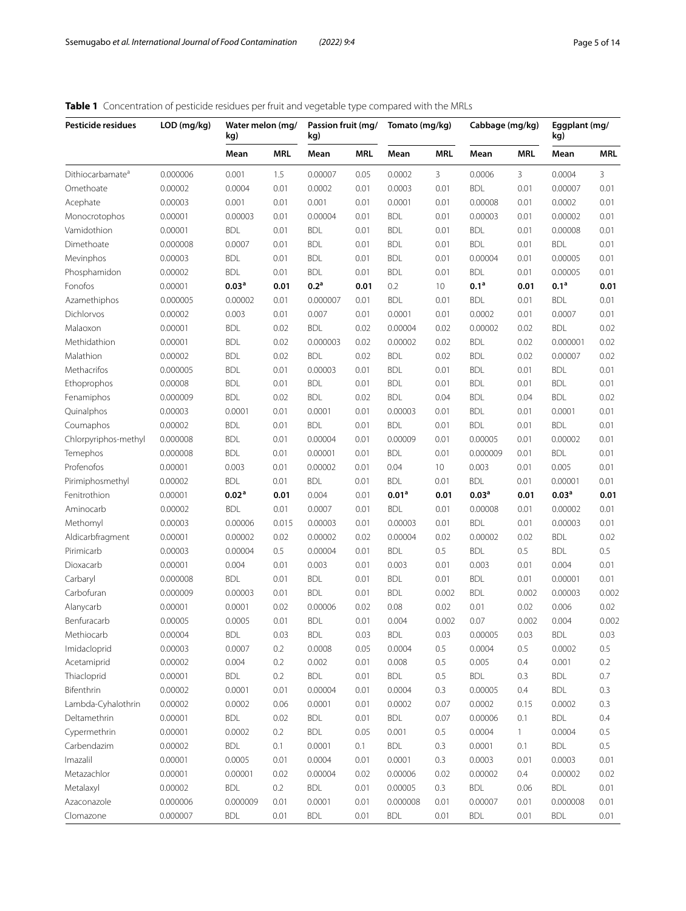# <span id="page-4-0"></span>**Table 1** Concentration of pesticide residues per fruit and vegetable type compared with the MRLs

| Pesticide residues           | LOD (mg/kg) | Water melon (mg/<br>kg) |            | Passion fruit (mg/<br>kg) |      | Tomato (mg/kg)    |            | Cabbage (mg/kg)   |              | Eggplant (mg/<br>kg) |            |
|------------------------------|-------------|-------------------------|------------|---------------------------|------|-------------------|------------|-------------------|--------------|----------------------|------------|
|                              |             | Mean                    | <b>MRL</b> | Mean                      | MRL  | Mean              | <b>MRL</b> | Mean              | <b>MRL</b>   | Mean                 | <b>MRL</b> |
| Dithiocarbamate <sup>a</sup> | 0.000006    | 0.001                   | 1.5        | 0.00007                   | 0.05 | 0.0002            | 3          | 0.0006            | 3            | 0.0004               | 3          |
| Omethoate                    | 0.00002     | 0.0004                  | 0.01       | 0.0002                    | 0.01 | 0.0003            | 0.01       | <b>BDL</b>        | 0.01         | 0.00007              | 0.01       |
| Acephate                     | 0.00003     | 0.001                   | 0.01       | 0.001                     | 0.01 | 0.0001            | 0.01       | 0.00008           | 0.01         | 0.0002               | 0.01       |
| Monocrotophos                | 0.00001     | 0.00003                 | 0.01       | 0.00004                   | 0.01 | <b>BDL</b>        | 0.01       | 0.00003           | 0.01         | 0.00002              | 0.01       |
| Vamidothion                  | 0.00001     | <b>BDL</b>              | 0.01       | <b>BDL</b>                | 0.01 | <b>BDL</b>        | 0.01       | <b>BDL</b>        | 0.01         | 0.00008              | 0.01       |
| Dimethoate                   | 0.000008    | 0.0007                  | 0.01       | <b>BDL</b>                | 0.01 | <b>BDL</b>        | 0.01       | <b>BDL</b>        | 0.01         | <b>BDL</b>           | 0.01       |
| Mevinphos                    | 0.00003     | <b>BDL</b>              | 0.01       | <b>BDL</b>                | 0.01 | <b>BDL</b>        | 0.01       | 0.00004           | 0.01         | 0.00005              | 0.01       |
| Phosphamidon                 | 0.00002     | <b>BDL</b>              | 0.01       | <b>BDL</b>                | 0.01 | <b>BDL</b>        | 0.01       | <b>BDL</b>        | 0.01         | 0.00005              | 0.01       |
| Fonofos                      | 0.00001     | 0.03 <sup>a</sup>       | 0.01       | 0.2 <sup>a</sup>          | 0.01 | 0.2               | 10         | 0.1 <sup>a</sup>  | 0.01         | 0.1 <sup>a</sup>     | 0.01       |
| Azamethiphos                 | 0.000005    | 0.00002                 | 0.01       | 0.000007                  | 0.01 | <b>BDL</b>        | 0.01       | <b>BDL</b>        | 0.01         | <b>BDL</b>           | 0.01       |
| Dichlorvos                   | 0.00002     | 0.003                   | 0.01       | 0.007                     | 0.01 | 0.0001            | 0.01       | 0.0002            | 0.01         | 0.0007               | 0.01       |
| Malaoxon                     | 0.00001     | <b>BDL</b>              | 0.02       | <b>BDL</b>                | 0.02 | 0.00004           | 0.02       | 0.00002           | 0.02         | <b>BDL</b>           | 0.02       |
| Methidathion                 | 0.00001     | <b>BDL</b>              | 0.02       | 0.000003                  | 0.02 | 0.00002           | 0.02       | <b>BDL</b>        | 0.02         | 0.000001             | 0.02       |
| Malathion                    | 0.00002     | <b>BDL</b>              | 0.02       | <b>BDL</b>                | 0.02 | <b>BDL</b>        | 0.02       | <b>BDL</b>        | 0.02         | 0.00007              | 0.02       |
| Methacrifos                  | 0.000005    | <b>BDL</b>              | 0.01       | 0.00003                   | 0.01 | <b>BDL</b>        | 0.01       | <b>BDL</b>        | 0.01         | <b>BDL</b>           | 0.01       |
| Ethoprophos                  | 0.00008     | <b>BDL</b>              | 0.01       | <b>BDL</b>                | 0.01 | <b>BDL</b>        | 0.01       | <b>BDL</b>        | 0.01         | <b>BDL</b>           | 0.01       |
| Fenamiphos                   | 0.000009    | <b>BDL</b>              | 0.02       | <b>BDL</b>                | 0.02 | <b>BDL</b>        | 0.04       | <b>BDL</b>        | 0.04         | <b>BDL</b>           | 0.02       |
| Quinalphos                   | 0.00003     | 0.0001                  | 0.01       | 0.0001                    | 0.01 | 0.00003           | 0.01       | <b>BDL</b>        | 0.01         | 0.0001               | 0.01       |
| Coumaphos                    | 0.00002     | <b>BDL</b>              | 0.01       | <b>BDL</b>                | 0.01 | <b>BDL</b>        | 0.01       | <b>BDL</b>        | 0.01         | <b>BDL</b>           | 0.01       |
| Chlorpyriphos-methyl         | 0.000008    | <b>BDL</b>              | 0.01       | 0.00004                   | 0.01 | 0.00009           | 0.01       | 0.00005           | 0.01         | 0.00002              | 0.01       |
| Temephos                     | 0.000008    | <b>BDL</b>              | 0.01       | 0.00001                   | 0.01 | <b>BDL</b>        | 0.01       | 0.000009          | 0.01         | <b>BDL</b>           | 0.01       |
| Profenofos                   | 0.00001     | 0.003                   | 0.01       | 0.00002                   | 0.01 | 0.04              | 10         | 0.003             | 0.01         | 0.005                | 0.01       |
| Pirimiphosmethyl             | 0.00002     | <b>BDL</b>              | 0.01       | <b>BDL</b>                | 0.01 | <b>BDL</b>        | 0.01       | <b>BDL</b>        | 0.01         | 0.00001              | 0.01       |
| Fenitrothion                 | 0.00001     | 0.02 <sup>a</sup>       | 0.01       | 0.004                     | 0.01 | 0.01 <sup>a</sup> | 0.01       | 0.03 <sup>a</sup> | 0.01         | 0.03 <sup>a</sup>    | 0.01       |
| Aminocarb                    | 0.00002     | <b>BDL</b>              | 0.01       | 0.0007                    | 0.01 | <b>BDL</b>        | 0.01       | 0.00008           | 0.01         | 0.00002              | 0.01       |
| Methomyl                     | 0.00003     | 0.00006                 | 0.015      | 0.00003                   | 0.01 | 0.00003           | 0.01       | <b>BDL</b>        | 0.01         | 0.00003              | 0.01       |
| Aldicarbfragment             | 0.00001     | 0.00002                 | 0.02       | 0.00002                   | 0.02 | 0.00004           | 0.02       | 0.00002           | 0.02         | <b>BDL</b>           | 0.02       |
| Pirimicarb                   | 0.00003     | 0.00004                 | 0.5        | 0.00004                   | 0.01 | <b>BDL</b>        | 0.5        | <b>BDL</b>        | 0.5          | <b>BDL</b>           | $0.5\,$    |
| Dioxacarb                    | 0.00001     | 0.004                   | 0.01       | 0.003                     | 0.01 | 0.003             | 0.01       | 0.003             | 0.01         | 0.004                | 0.01       |
| Carbaryl                     | 0.000008    | <b>BDL</b>              | 0.01       | <b>BDL</b>                | 0.01 | <b>BDL</b>        | 0.01       | <b>BDL</b>        | 0.01         | 0.00001              | 0.01       |
| Carbofuran                   | 0.000009    | 0.00003                 | 0.01       | <b>BDL</b>                | 0.01 | <b>BDL</b>        | 0.002      | <b>BDL</b>        | 0.002        | 0.00003              | 0.002      |
| Alanycarb                    | 0.00001     | 0.0001                  | 0.02       | 0.00006                   | 0.02 | 0.08              | 0.02       | 0.01              | 0.02         | 0.006                | 0.02       |
| Benfuracarb                  | 0.00005     | 0.0005                  | 0.01       | <b>BDL</b>                | 0.01 | 0.004             | 0.002      | 0.07              | 0.002        | 0.004                | 0.002      |
| Methiocarb                   | 0.00004     | <b>BDL</b>              | 0.03       | <b>BDL</b>                | 0.03 | <b>BDL</b>        | 0.03       | 0.00005           | 0.03         | <b>BDL</b>           | 0.03       |
| Imidacloprid                 | 0.00003     | 0.0007                  | 0.2        | 0.0008                    | 0.05 | 0.0004            | 0.5        | 0.0004            | 0.5          | 0.0002               | 0.5        |
| Acetamiprid                  | 0.00002     | 0.004                   | 0.2        | 0.002                     | 0.01 | 0.008             | 0.5        | 0.005             | 0.4          | 0.001                | 0.2        |
| Thiacloprid                  | 0.00001     | BDL                     | 0.2        | <b>BDL</b>                | 0.01 | BDL               | 0.5        | BDL               | 0.3          | <b>BDL</b>           | 0.7        |
| Bifenthrin                   | 0.00002     | 0.0001                  | 0.01       | 0.00004                   | 0.01 | 0.0004            | 0.3        | 0.00005           | 0.4          | <b>BDL</b>           | 0.3        |
| Lambda-Cyhalothrin           | 0.00002     | 0.0002                  | 0.06       | 0.0001                    | 0.01 | 0.0002            | 0.07       | 0.0002            | 0.15         | 0.0002               | 0.3        |
| Deltamethrin                 | 0.00001     | <b>BDL</b>              | 0.02       | <b>BDL</b>                | 0.01 | BDL               | 0.07       | 0.00006           | 0.1          | <b>BDL</b>           | 0.4        |
| Cypermethrin                 | 0.00001     | 0.0002                  | 0.2        | <b>BDL</b>                | 0.05 | 0.001             | 0.5        | 0.0004            | $\mathbf{1}$ | 0.0004               | 0.5        |
| Carbendazim                  | 0.00002     | <b>BDL</b>              | 0.1        | 0.0001                    | 0.1  | <b>BDL</b>        | 0.3        | 0.0001            | 0.1          | <b>BDL</b>           | 0.5        |
| Imazalil                     | 0.00001     | 0.0005                  | 0.01       | 0.0004                    | 0.01 | 0.0001            | 0.3        | 0.0003            | 0.01         | 0.0003               | 0.01       |
| Metazachlor                  | 0.00001     | 0.00001                 | 0.02       | 0.00004                   | 0.02 | 0.00006           | 0.02       | 0.00002           | 0.4          | 0.00002              | 0.02       |
| Metalaxyl                    | 0.00002     | <b>BDL</b>              | 0.2        | <b>BDL</b>                | 0.01 | 0.00005           | 0.3        | <b>BDL</b>        | 0.06         | <b>BDL</b>           | 0.01       |
| Azaconazole                  | 0.000006    | 0.000009                | 0.01       | 0.0001                    | 0.01 | 0.000008          | 0.01       | 0.00007           | 0.01         | 0.000008             | 0.01       |
| Clomazone                    | 0.000007    | <b>BDL</b>              | 0.01       | BDL                       | 0.01 | <b>BDL</b>        | 0.01       | <b>BDL</b>        | 0.01         | <b>BDL</b>           | 0.01       |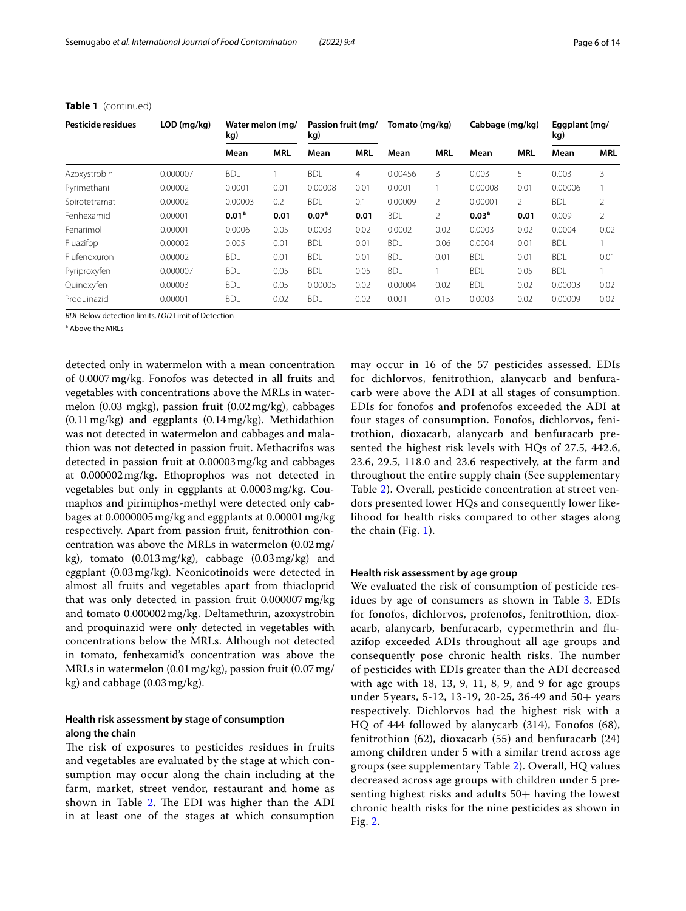| Pesticide residues | $LOD$ (mg/kg) | Water melon (mg/<br>kg) |            | Passion fruit (mg/<br>kg) |                | Tomato (mg/kg) |            | Cabbage (mg/kg)   |            | Eggplant (mg/<br>kg) |            |
|--------------------|---------------|-------------------------|------------|---------------------------|----------------|----------------|------------|-------------------|------------|----------------------|------------|
|                    |               | Mean                    | <b>MRL</b> | Mean                      | <b>MRL</b>     | Mean           | <b>MRL</b> | Mean              | <b>MRL</b> | Mean                 | <b>MRL</b> |
| Azoxystrobin       | 0.000007      | <b>BDL</b>              |            | <b>BDL</b>                | $\overline{4}$ | 0.00456        | 3          | 0.003             | 5          | 0.003                | 3          |
| Pyrimethanil       | 0.00002       | 0.0001                  | 0.01       | 0.00008                   | 0.01           | 0.0001         |            | 0.00008           | 0.01       | 0.00006              |            |
| Spirotetramat      | 0.00002       | 0.00003                 | 0.2        | <b>BDL</b>                | 0.1            | 0.00009        | 2          | 0.00001           | 2          | <b>BDL</b>           | 2          |
| Fenhexamid         | 0.00001       | 0.01 <sup>a</sup>       | 0.01       | 0.07 <sup>a</sup>         | 0.01           | <b>BDL</b>     | 2          | 0.03 <sup>a</sup> | 0.01       | 0.009                | 2          |
| Fenarimol          | 0.00001       | 0.0006                  | 0.05       | 0.0003                    | 0.02           | 0.0002         | 0.02       | 0.0003            | 0.02       | 0.0004               | 0.02       |
| Fluazifop          | 0.00002       | 0.005                   | 0.01       | <b>BDL</b>                | 0.01           | <b>BDL</b>     | 0.06       | 0.0004            | 0.01       | <b>BDL</b>           |            |
| Flufenoxuron       | 0.00002       | <b>BDL</b>              | 0.01       | <b>BDL</b>                | 0.01           | <b>BDL</b>     | 0.01       | <b>BDL</b>        | 0.01       | <b>BDL</b>           | 0.01       |
| Pyriproxyfen       | 0.000007      | <b>BDL</b>              | 0.05       | <b>BDL</b>                | 0.05           | <b>BDL</b>     |            | <b>BDL</b>        | 0.05       | <b>BDL</b>           |            |
| Quinoxyfen         | 0.00003       | <b>BDL</b>              | 0.05       | 0.00005                   | 0.02           | 0.00004        | 0.02       | <b>BDL</b>        | 0.02       | 0.00003              | 0.02       |
| Proguinazid        | 0.00001       | <b>BDL</b>              | 0.02       | <b>BDL</b>                | 0.02           | 0.001          | 0.15       | 0.0003            | 0.02       | 0.00009              | 0.02       |

#### **Table 1** (continued)

*BDL* Below detection limits, *LOD* Limit of Detection

<sup>a</sup> Above the MRLs

detected only in watermelon with a mean concentration of 0.0007mg/kg. Fonofos was detected in all fruits and vegetables with concentrations above the MRLs in watermelon (0.03 mgkg), passion fruit (0.02mg/kg), cabbages (0.11mg/kg) and eggplants (0.14mg/kg). Methidathion was not detected in watermelon and cabbages and malathion was not detected in passion fruit. Methacrifos was detected in passion fruit at 0.00003mg/kg and cabbages at 0.000002mg/kg. Ethoprophos was not detected in vegetables but only in eggplants at 0.0003mg/kg. Coumaphos and pirimiphos-methyl were detected only cabbages at 0.0000005mg/kg and eggplants at 0.00001mg/kg respectively. Apart from passion fruit, fenitrothion concentration was above the MRLs in watermelon (0.02mg/ kg), tomato (0.013mg/kg), cabbage (0.03mg/kg) and eggplant (0.03mg/kg). Neonicotinoids were detected in almost all fruits and vegetables apart from thiacloprid that was only detected in passion fruit 0.000007mg/kg and tomato 0.000002mg/kg. Deltamethrin, azoxystrobin and proquinazid were only detected in vegetables with concentrations below the MRLs. Although not detected in tomato, fenhexamid's concentration was above the MRLs in watermelon (0.01 mg/kg), passion fruit (0.07 mg/ kg) and cabbage (0.03mg/kg).

# **Health risk assessment by stage of consumption along the chain**

The risk of exposures to pesticides residues in fruits and vegetables are evaluated by the stage at which consumption may occur along the chain including at the farm, market, street vendor, restaurant and home as shown in Table [2](#page-6-0). The EDI was higher than the ADI in at least one of the stages at which consumption may occur in 16 of the 57 pesticides assessed. EDIs for dichlorvos, fenitrothion, alanycarb and benfuracarb were above the ADI at all stages of consumption. EDIs for fonofos and profenofos exceeded the ADI at four stages of consumption. Fonofos, dichlorvos, fenitrothion, dioxacarb, alanycarb and benfuracarb presented the highest risk levels with HQs of 27.5, 442.6, 23.6, 29.5, 118.0 and 23.6 respectively, at the farm and throughout the entire supply chain (See supplementary Table [2](#page-11-9)). Overall, pesticide concentration at street vendors presented lower HQs and consequently lower likelihood for health risks compared to other stages along the chain (Fig. [1](#page-7-0)).

# **Health risk assessment by age group**

We evaluated the risk of consumption of pesticide res-idues by age of consumers as shown in Table [3](#page-8-0). EDIs for fonofos, dichlorvos, profenofos, fenitrothion, dioxacarb, alanycarb, benfuracarb, cypermethrin and fuazifop exceeded ADIs throughout all age groups and consequently pose chronic health risks. The number of pesticides with EDIs greater than the ADI decreased with age with 18, 13, 9, 11, 8, 9, and 9 for age groups under 5 years, 5-12, 13-19, 20-25, 36-49 and 50+ years respectively. Dichlorvos had the highest risk with a HQ of 444 followed by alanycarb (314), Fonofos (68), fenitrothion (62), dioxacarb (55) and benfuracarb (24) among children under 5 with a similar trend across age groups (see supplementary Table [2\)](#page-11-9). Overall, HQ values decreased across age groups with children under 5 presenting highest risks and adults  $50+$  having the lowest chronic health risks for the nine pesticides as shown in Fig. [2.](#page-9-0)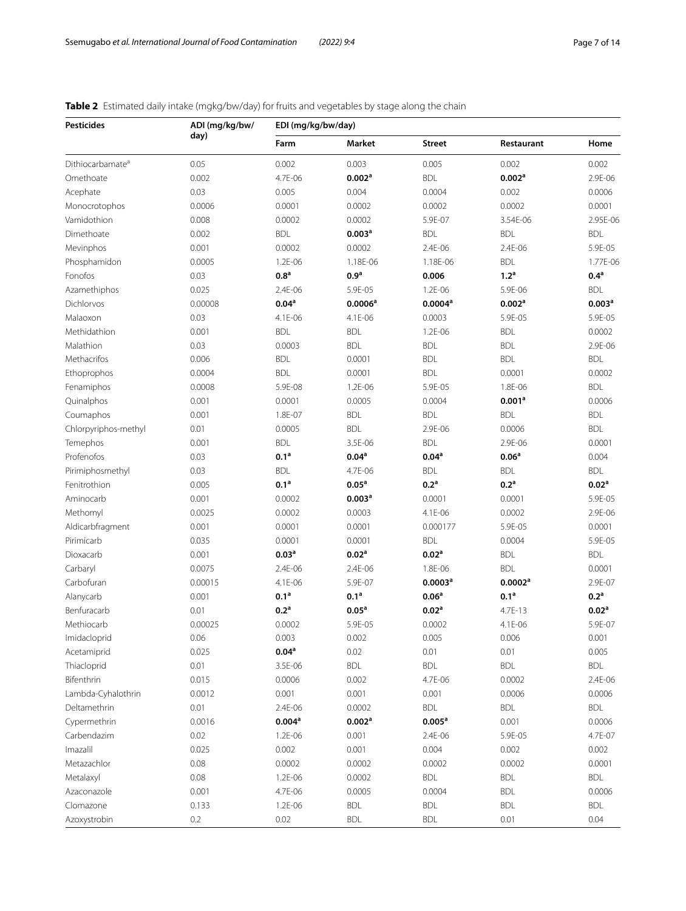# <span id="page-6-0"></span>**Table 2** Estimated daily intake (mgkg/bw/day) for fruits and vegetables by stage along the chain

| <b>Pesticides</b>            | ADI (mg/kg/bw/ | EDI (mg/kg/bw/day) |                     |                     |                     |                    |  |  |  |  |
|------------------------------|----------------|--------------------|---------------------|---------------------|---------------------|--------------------|--|--|--|--|
|                              | day)           | Farm               | Market              | <b>Street</b>       | Restaurant          | Home               |  |  |  |  |
| Dithiocarbamate <sup>a</sup> | 0.05           | 0.002              | 0.003               | 0.005               | 0.002               | 0.002              |  |  |  |  |
| Omethoate                    | 0.002          | 4.7E-06            | 0.002 <sup>a</sup>  | <b>BDL</b>          | 0.002 <sup>a</sup>  | 2.9E-06            |  |  |  |  |
| Acephate                     | 0.03           | 0.005              | 0.004               | 0.0004              | 0.002               | 0.0006             |  |  |  |  |
| Monocrotophos                | 0.0006         | 0.0001             | 0.0002              | 0.0002              | 0.0002              | 0.0001             |  |  |  |  |
| Vamidothion                  | 0.008          | 0.0002             | 0.0002              | 5.9E-07             | 3.54E-06            | 2.95E-06           |  |  |  |  |
| Dimethoate                   | 0.002          | <b>BDL</b>         | 0.003 <sup>a</sup>  | <b>BDL</b>          | <b>BDL</b>          | <b>BDL</b>         |  |  |  |  |
| Mevinphos                    | 0.001          | 0.0002             | 0.0002              | 2.4E-06             | 2.4E-06             | 5.9E-05            |  |  |  |  |
| Phosphamidon                 | 0.0005         | 1.2E-06            | 1.18E-06            | 1.18E-06            | <b>BDL</b>          | 1.77E-06           |  |  |  |  |
| Fonofos                      | 0.03           | 0.8 <sup>a</sup>   | 0.9 <sup>a</sup>    | 0.006               | 1.2 <sup>a</sup>    | 0.4 <sup>a</sup>   |  |  |  |  |
| Azamethiphos                 | 0.025          | 2.4E-06            | 5.9E-05             | 1.2E-06             | 5.9E-06             | <b>BDL</b>         |  |  |  |  |
| Dichlorvos                   | 0.00008        | 0.04 <sup>a</sup>  | 0.0006 <sup>a</sup> | 0.0004 <sup>a</sup> | 0.002 <sup>a</sup>  | 0.003 <sup>a</sup> |  |  |  |  |
| Malaoxon                     | 0.03           | 4.1E-06            | 4.1E-06             | 0.0003              | 5.9E-05             | 5.9E-05            |  |  |  |  |
| Methidathion                 | 0.001          | <b>BDL</b>         | <b>BDL</b>          | 1.2E-06             | <b>BDL</b>          | 0.0002             |  |  |  |  |
| Malathion                    | 0.03           | 0.0003             | <b>BDL</b>          | <b>BDL</b>          | <b>BDL</b>          | 2.9E-06            |  |  |  |  |
| Methacrifos                  | 0.006          | <b>BDL</b>         | 0.0001              | <b>BDL</b>          | <b>BDL</b>          | <b>BDL</b>         |  |  |  |  |
| Ethoprophos                  | 0.0004         | <b>BDL</b>         | 0.0001              | <b>BDL</b>          | 0.0001              | 0.0002             |  |  |  |  |
| Fenamiphos                   | 0.0008         | 5.9E-08            | 1.2E-06             | 5.9E-05             | 1.8E-06             | <b>BDL</b>         |  |  |  |  |
| Quinalphos                   | 0.001          | 0.0001             | 0.0005              | 0.0004              | 0.001 <sup>a</sup>  | 0.0006             |  |  |  |  |
| Coumaphos                    | 0.001          | 1.8E-07            | <b>BDL</b>          | <b>BDL</b>          | <b>BDL</b>          | <b>BDL</b>         |  |  |  |  |
| Chlorpyriphos-methyl         | 0.01           | 0.0005             | <b>BDL</b>          | 2.9E-06             | 0.0006              | <b>BDL</b>         |  |  |  |  |
| Temephos                     | 0.001          | <b>BDL</b>         | 3.5E-06             | <b>BDL</b>          | 2.9E-06             | 0.0001             |  |  |  |  |
| Profenofos                   | 0.03           | 0.1 <sup>a</sup>   | 0.04 <sup>a</sup>   | 0.04 <sup>a</sup>   | 0.06 <sup>a</sup>   | 0.004              |  |  |  |  |
| Pirimiphosmethyl             | 0.03           | <b>BDL</b>         | 4.7E-06             | <b>BDL</b>          | <b>BDL</b>          | <b>BDL</b>         |  |  |  |  |
| Fenitrothion                 | 0.005          | 0.1 <sup>a</sup>   | 0.05 <sup>a</sup>   | 0.2 <sup>a</sup>    | 0.2 <sup>a</sup>    | 0.02 <sup>a</sup>  |  |  |  |  |
| Aminocarb                    | 0.001          | 0.0002             | 0.003 <sup>a</sup>  | 0.0001              | 0.0001              | 5.9E-05            |  |  |  |  |
| Methomyl                     | 0.0025         | 0.0002             | 0.0003              | 4.1E-06             | 0.0002              | 2.9E-06            |  |  |  |  |
| Aldicarbfragment             | 0.001          | 0.0001             | 0.0001              | 0.000177            | 5.9E-05             | 0.0001             |  |  |  |  |
| Pirimicarb                   | 0.035          | 0.0001             | 0.0001              | <b>BDL</b>          | 0.0004              | 5.9E-05            |  |  |  |  |
| Dioxacarb                    | 0.001          | 0.03 <sup>a</sup>  | 0.02 <sup>a</sup>   | 0.02 <sup>a</sup>   | <b>BDL</b>          | <b>BDL</b>         |  |  |  |  |
| Carbaryl                     | 0.0075         | 2.4E-06            | 2.4E-06             | 1.8E-06             | <b>BDL</b>          | 0.0001             |  |  |  |  |
| Carbofuran                   | 0.00015        | 4.1E-06            | 5.9E-07             | 0.0003 <sup>a</sup> | 0.0002 <sup>a</sup> | 2.9E-07            |  |  |  |  |
| Alanycarb                    | 0.001          | 0.1 <sup>a</sup>   | 0.1 <sup>a</sup>    | 0.06 <sup>a</sup>   | 0.1 <sup>a</sup>    | 0.2 <sup>a</sup>   |  |  |  |  |
| Benfuracarb                  | 0.01           | 0.2 <sup>a</sup>   | 0.05 <sup>a</sup>   | 0.02 <sup>a</sup>   | 4.7E-13             | 0.02 <sup>a</sup>  |  |  |  |  |
| Methiocarb                   | 0.00025        | 0.0002             | 5.9E-05             | 0.0002              | 4.1E-06             | 5.9E-07            |  |  |  |  |
| Imidacloprid                 | 0.06           | 0.003              | 0.002               | 0.005               | 0.006               | 0.001              |  |  |  |  |
| Acetamiprid                  | 0.025          | 0.04 <sup>a</sup>  | 0.02                | 0.01                | 0.01                | 0.005              |  |  |  |  |
| Thiacloprid                  | 0.01           | 3.5E-06            | <b>BDL</b>          | <b>BDL</b>          | <b>BDL</b>          | <b>BDL</b>         |  |  |  |  |
| Bifenthrin                   | 0.015          | 0.0006             | 0.002               | 4.7E-06             | 0.0002              | 2.4E-06            |  |  |  |  |
| Lambda-Cyhalothrin           | 0.0012         | 0.001              | 0.001               | 0.001               | 0.0006              | 0.0006             |  |  |  |  |
| Deltamethrin                 | 0.01           | 2.4E-06            | 0.0002              | <b>BDL</b>          | <b>BDL</b>          | <b>BDL</b>         |  |  |  |  |
| Cypermethrin                 | 0.0016         | 0.004 <sup>a</sup> | 0.002 <sup>a</sup>  | $0.005^a$           | 0.001               | 0.0006             |  |  |  |  |
| Carbendazim                  | 0.02           | 1.2E-06            | 0.001               | 2.4E-06             | 5.9E-05             | 4.7E-07            |  |  |  |  |
| Imazalil                     | 0.025          | 0.002              | 0.001               | 0.004               | 0.002               | 0.002              |  |  |  |  |
| Metazachlor                  | 0.08           | 0.0002             | 0.0002              | 0.0002              | 0.0002              | 0.0001             |  |  |  |  |
| Metalaxyl                    | 0.08           | 1.2E-06            | 0.0002              | <b>BDL</b>          | <b>BDL</b>          | BDL                |  |  |  |  |
| Azaconazole                  | 0.001          | 4.7E-06            | 0.0005              | 0.0004              | <b>BDL</b>          | 0.0006             |  |  |  |  |
| Clomazone                    | 0.133          | 1.2E-06            | <b>BDL</b>          | <b>BDL</b>          | <b>BDL</b>          | <b>BDL</b>         |  |  |  |  |
| Azoxystrobin                 | 0.2            | 0.02               | <b>BDL</b>          | <b>BDL</b>          | 0.01                | 0.04               |  |  |  |  |
|                              |                |                    |                     |                     |                     |                    |  |  |  |  |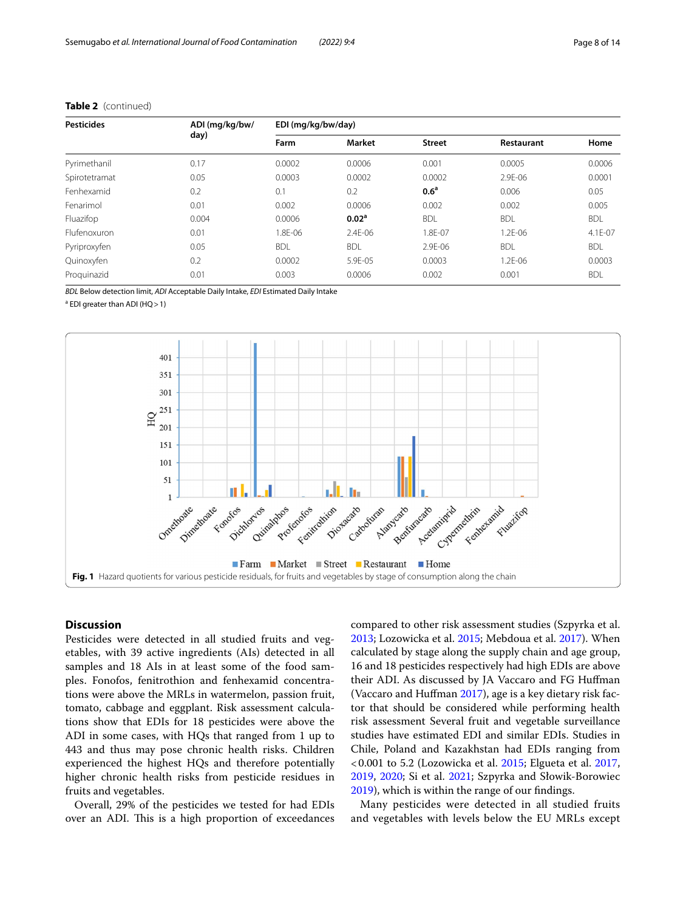| <b>Pesticides</b> | ADI (mg/kg/bw/ | EDI (mg/kg/bw/day) |                   |                  |             |            |  |  |  |  |
|-------------------|----------------|--------------------|-------------------|------------------|-------------|------------|--|--|--|--|
|                   | day)           | Farm               | <b>Market</b>     | <b>Street</b>    | Restaurant  | Home       |  |  |  |  |
| Pyrimethanil      | 0.17           | 0.0002             | 0.0006            | 0.001            | 0.0005      | 0.0006     |  |  |  |  |
| Spirotetramat     | 0.05           | 0.0003             | 0.0002            | 0.0002           | 2.9E-06     | 0.0001     |  |  |  |  |
| Fenhexamid        | 0.2            | 0.1                | 0.2               | 0.6 <sup>a</sup> | 0.006       | 0.05       |  |  |  |  |
| Fenarimol         | 0.01           | 0.002              | 0.0006            | 0.002            | 0.002       | 0.005      |  |  |  |  |
| Fluazifop         | 0.004          | 0.0006             | 0.02 <sup>a</sup> | <b>BDL</b>       | <b>BDL</b>  | <b>BDL</b> |  |  |  |  |
| Flufenoxuron      | 0.01           | 1.8F-06            | $2.4F - 06$       | .8E-07           | $1.2F - 06$ | 4.1E-07    |  |  |  |  |
| Pyriproxyfen      | 0.05           | <b>BDL</b>         | <b>BDL</b>        | 2.9E-06          | <b>BDL</b>  | <b>BDL</b> |  |  |  |  |
| Quinoxyfen        | 0.2            | 0.0002             | 5.9E-05           | 0.0003           | 1.2E-06     | 0.0003     |  |  |  |  |
| Proguinazid       | 0.01           | 0.003              | 0.0006            | 0.002            | 0.001       | <b>BDL</b> |  |  |  |  |

# **Table 2** (continued)

*BDL* Below detection limit, *ADI* Acceptable Daily Intake, *EDI* Estimated Daily Intake

<sup>a</sup> EDI greater than ADI (HQ > 1)



## <span id="page-7-0"></span>**Discussion**

Pesticides were detected in all studied fruits and vegetables, with 39 active ingredients (AIs) detected in all samples and 18 AIs in at least some of the food samples. Fonofos, fenitrothion and fenhexamid concentrations were above the MRLs in watermelon, passion fruit, tomato, cabbage and eggplant. Risk assessment calculations show that EDIs for 18 pesticides were above the ADI in some cases, with HQs that ranged from 1 up to 443 and thus may pose chronic health risks. Children experienced the highest HQs and therefore potentially higher chronic health risks from pesticide residues in fruits and vegetables.

Overall, 29% of the pesticides we tested for had EDIs over an ADI. This is a high proportion of exceedances

compared to other risk assessment studies (Szpyrka et al. [2013](#page-13-6); Lozowicka et al. [2015](#page-12-28); Mebdoua et al. [2017](#page-12-29)). When calculated by stage along the supply chain and age group, 16 and 18 pesticides respectively had high EDIs are above their ADI. As discussed by JA Vaccaro and FG Hufman (Vaccaro and Hufman [2017](#page-13-7)), age is a key dietary risk factor that should be considered while performing health risk assessment Several fruit and vegetable surveillance studies have estimated EDI and similar EDIs. Studies in Chile, Poland and Kazakhstan had EDIs ranging from <0.001 to 5.2 (Lozowicka et al. [2015](#page-12-28); Elgueta et al. [2017](#page-12-30), [2019](#page-11-12), [2020;](#page-12-31) Si et al. [2021](#page-12-32); Szpyrka and Słowik-Borowiec [2019](#page-13-8)), which is within the range of our fndings.

Many pesticides were detected in all studied fruits and vegetables with levels below the EU MRLs except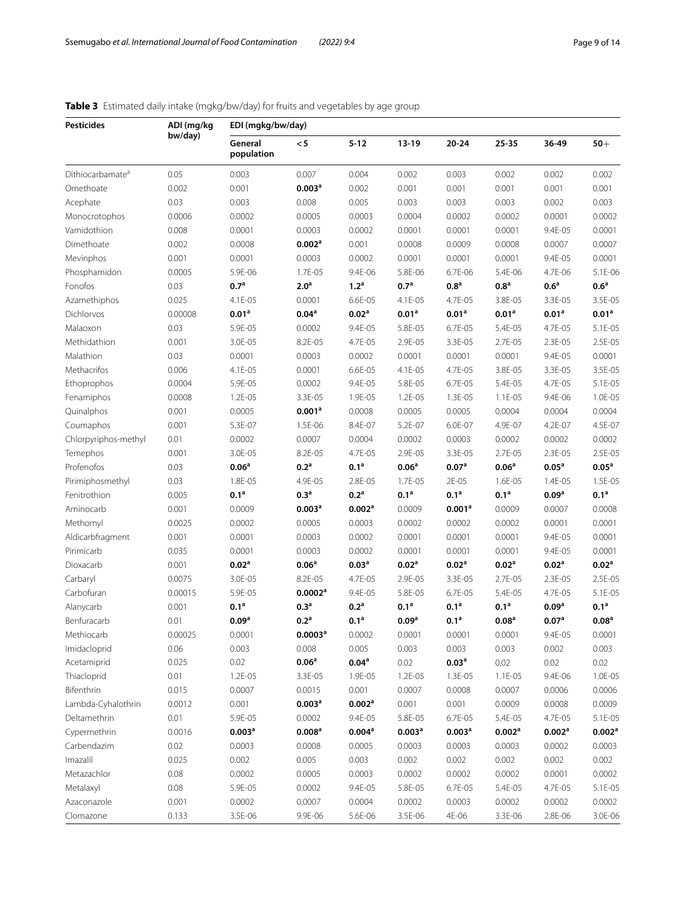# <span id="page-8-0"></span>**Table 3** Estimated daily intake (mgkg/bw/day) for fruits and vegetables by age group

| <b>Pesticides</b>            | ADI (mg/kg | EDI (mgkg/bw/day)     |                      |                    |                    |                    |                    |                    |                    |  |
|------------------------------|------------|-----------------------|----------------------|--------------------|--------------------|--------------------|--------------------|--------------------|--------------------|--|
|                              | bw/day)    | General<br>population | < 5                  | $5 - 12$           | $13-19$            | $20 - 24$          | 25-35              | 36-49              | $50+$              |  |
| Dithiocarbamate <sup>a</sup> | 0.05       | 0.003                 | 0.007                | 0.004              | 0.002              | 0.003              | 0.002              | 0.002              | 0.002              |  |
| Omethoate                    | 0.002      | 0.001                 | 0.003 <sup>a</sup>   | 0.002              | 0.001              | 0.001              | 0.001              | 0.001              | 0.001              |  |
| Acephate                     | 0.03       | 0.003                 | 0.008                | 0.005              | 0.003              | 0.003              | 0.003              | 0.002              | 0.003              |  |
| Monocrotophos                | 0.0006     | 0.0002                | 0.0005               | 0.0003             | 0.0004             | 0.0002             | 0.0002             | 0.0001             | 0.0002             |  |
| Vamidothion                  | 0.008      | 0.0001                | 0.0003               | 0.0002             | 0.0001             | 0.0001             | 0.0001             | 9.4E-05            | 0.0001             |  |
| Dimethoate                   | 0.002      | 0.0008                | 0.002 <sup>a</sup>   | 0.001              | 0.0008             | 0.0009             | 0.0008             | 0.0007             | 0.0007             |  |
| Mevinphos                    | 0.001      | 0.0001                | 0.0003               | 0.0002             | 0.0001             | 0.0001             | 0.0001             | 9.4E-05            | 0.0001             |  |
| Phosphamidon                 | 0.0005     | 5.9E-06               | 1.7E-05              | 9.4E-06            | 5.8E-06            | 6.7E-06            | 5.4E-06            | 4.7E-06            | 5.1E-06            |  |
| Fonofos                      | 0.03       | 0.7 <sup>a</sup>      | 2.0 <sup>a</sup>     | 1.2 <sup>a</sup>   | 0.7 <sup>a</sup>   | 0.8 <sup>a</sup>   | $0.8^{\rm a}$      | 0.6 <sup>a</sup>   | $0.6^{\rm a}$      |  |
| Azamethiphos                 | 0.025      | 4.1E-05               | 0.0001               | 6.6E-05            | 4.1E-05            | 4.7E-05            | 3.8E-05            | 3.3E-05            | 3.5E-05            |  |
| Dichlorvos                   | 0.00008    | 0.01 <sup>a</sup>     | 0.04 <sup>a</sup>    | 0.02 <sup>a</sup>  | 0.01 <sup>a</sup>  | 0.01 <sup>a</sup>  | 0.01 <sup>a</sup>  | 0.01 <sup>a</sup>  | 0.01 <sup>a</sup>  |  |
| Malaoxon                     | 0.03       | 5.9E-05               | 0.0002               | 9.4E-05            | 5.8E-05            | 6.7E-05            | 5.4E-05            | 4.7E-05            | 5.1E-05            |  |
| Methidathion                 | 0.001      | 3.0E-05               | 8.2E-05              | 4.7E-05            | 2.9E-05            | 3.3E-05            | 2.7E-05            | 2.3E-05            | 2.5E-05            |  |
| Malathion                    | 0.03       | 0.0001                | 0.0003               | 0.0002             | 0.0001             | 0.0001             | 0.0001             | 9.4E-05            | 0.0001             |  |
| Methacrifos                  | 0.006      | 4.1E-05               | 0.0001               | 6.6E-05            | 4.1E-05            | 4.7E-05            | 3.8E-05            | 3.3E-05            | 3.5E-05            |  |
| Ethoprophos                  | 0.0004     | 5.9E-05               | 0.0002               | 9.4E-05            | 5.8E-05            | 6.7E-05            | 5.4E-05            | 4.7E-05            | 5.1E-05            |  |
| Fenamiphos                   | 0.0008     | 1.2E-05               | 3.3E-05              | 1.9E-05            | 1.2E-05            | 1.3E-05            | 1.1E-05            | 9.4E-06            | 1.0E-05            |  |
| Quinalphos                   | 0.001      | 0.0005                | 0.001 <sup>a</sup>   | 0.0008             | 0.0005             | 0.0005             | 0.0004             | 0.0004             | 0.0004             |  |
| Coumaphos                    | 0.001      | 5.3E-07               | 1.5E-06              | 8.4E-07            | 5.2E-07            | 6.0E-07            | 4.9E-07            | 4.2E-07            | 4.5E-07            |  |
| Chlorpyriphos-methyl         | 0.01       | 0.0002                | 0.0007               | 0.0004             | 0.0002             | 0.0003             | 0.0002             | 0.0002             | 0.0002             |  |
| Temephos                     | 0.001      | 3.0E-05               | 8.2E-05              | 4.7E-05            | 2.9E-05            | 3.3E-05            | 2.7E-05            | 2.3E-05            | 2.5E-05            |  |
| Profenofos                   | 0.03       | 0.06 <sup>a</sup>     | 0.2 <sup>a</sup>     | 0.1 <sup>a</sup>   | 0.06 <sup>a</sup>  | 0.07 <sup>a</sup>  | 0.06 <sup>a</sup>  | 0.05 <sup>a</sup>  | 0.05 <sup>a</sup>  |  |
| Pirimiphosmethyl             | 0.03       | 1.8E-05               | 4.9E-05              | 2.8E-05            | 1.7E-05            | 2E-05              | 1.6E-05            | 1.4E-05            | 1.5E-05            |  |
| Fenitrothion                 | 0.005      | 0.1 <sup>a</sup>      | 0.3 <sup>a</sup>     | 0.2 <sup>a</sup>   | 0.1 <sup>a</sup>   | 0.1 <sup>a</sup>   | 0.1 <sup>a</sup>   | 0.09 <sup>a</sup>  | 0.1 <sup>a</sup>   |  |
| Aminocarb                    | 0.001      | 0.0009                | 0.003 <sup>a</sup>   | 0.002 <sup>a</sup> | 0.0009             | 0.001 <sup>a</sup> | 0.0009             | 0.0007             | 0.0008             |  |
| Methomyl                     | 0.0025     | 0.0002                | 0.0005               | 0.0003             | 0.0002             | 0.0002             | 0.0002             | 0.0001             | 0.0001             |  |
| Aldicarbfragment             | 0.001      | 0.0001                | 0.0003               | 0.0002             | 0.0001             | 0.0001             | 0.0001             | 9.4E-05            | 0.0001             |  |
| Pirimicarb                   | 0.035      | 0.0001                | 0.0003               | 0.0002             | 0.0001             | 0.0001             | 0.0001             | 9.4E-05            | 0.0001             |  |
| Dioxacarb                    | 0.001      | 0.02 <sup>a</sup>     | 0.06 <sup>a</sup>    | 0.03 <sup>a</sup>  | 0.02 <sup>a</sup>  | 0.02 <sup>a</sup>  | 0.02 <sup>a</sup>  | 0.02 <sup>a</sup>  | 0.02 <sup>a</sup>  |  |
| Carbaryl                     | 0.0075     | 3.0E-05               | 8.2E-05              | 4.7E-05            | 2.9E-05            | 3.3E-05            | 2.7E-05            | 2.3E-05            | 2.5E-05            |  |
| Carbofuran                   | 0.00015    | 5.9E-05               | 0.0002 <sup>a</sup>  | 9.4E-05            | 5.8E-05            | 6.7E-05            | 5.4E-05            | 4.7E-05            | 5.1E-05            |  |
| Alanycarb                    | 0.001      | 0.1 <sup>a</sup>      | 0.3 <sup>a</sup>     | 0.2 <sup>a</sup>   | 0.1 <sup>a</sup>   | 0.1 <sup>a</sup>   | 0.1 <sup>a</sup>   | 0.09 <sup>a</sup>  | 0.1 <sup>a</sup>   |  |
| Benfuracarb                  | 0.01       | 0.09 <sup>a</sup>     | 0.2 <sup>a</sup>     | 0.1 <sup>a</sup>   | 0.09 <sup>a</sup>  | 0.1 <sup>a</sup>   | 0.08 <sup>a</sup>  | 0.07 <sup>a</sup>  | 0.08 <sup>a</sup>  |  |
| Methiocarb                   | 0.00025    | 0.0001                | 0.0003 <sup>a</sup>  | 0.0002             | 0.0001             | 0.0001             | 0.0001             | 9.4E-05            | 0.0001             |  |
| Imidacloprid                 | 0.06       | 0.003                 | 0.008                | 0.005              | 0.003              | 0.003              | 0.003              | 0.002              | 0.003              |  |
| Acetamiprid                  | 0.025      | 0.02                  | 0.06 <sup>a</sup>    | 0.04 <sup>a</sup>  | 0.02               | 0.03 <sup>a</sup>  | 0.02               | 0.02               | 0.02               |  |
| Thiacloprid                  | 0.01       | 1.2E-05               | 3.3E-05              | 1.9E-05            | 1.2E-05            | 1.3E-05            | 1.1E-05            | 9.4E-06            | 1.0E-05            |  |
| Bifenthrin                   | 0.015      | 0.0007                | 0.0015               | 0.001              | 0.0007             | 0.0008             | 0.0007             | 0.0006             | 0.0006             |  |
| Lambda-Cyhalothrin           | 0.0012     | 0.001                 | 0.003 <sup>a</sup>   | 0.002 <sup>a</sup> | 0.001              | 0.001              | 0.0009             | 0.0008             | 0.0009             |  |
| Deltamethrin                 | 0.01       | 5.9E-05               | 0.0002               | 9.4E-05            | 5.8E-05            | 6.7E-05            | 5.4E-05            | 4.7E-05            | 5.1E-05            |  |
| Cypermethrin                 | 0.0016     | 0.003 <sup>a</sup>    | $0.008$ <sup>a</sup> | $0.004^a$          | 0.003 <sup>a</sup> | 0.003 <sup>a</sup> | 0.002 <sup>a</sup> | 0.002 <sup>a</sup> | 0.002 <sup>a</sup> |  |
| Carbendazim                  | 0.02       | 0.0003                | 0.0008               | 0.0005             | 0.0003             | 0.0003             | 0.0003             | 0.0002             | 0.0003             |  |
| Imazalil                     | 0.025      | 0.002                 | 0.005                | 0.003              | 0.002              | 0.002              | 0.002              | 0.002              | 0.002              |  |
| Metazachlor                  | 0.08       | 0.0002                | 0.0005               | 0.0003             | 0.0002             | 0.0002             | 0.0002             | 0.0001             | 0.0002             |  |
| Metalaxyl                    | 0.08       | 5.9E-05               | 0.0002               | 9.4E-05            | 5.8E-05            | 6.7E-05            | 5.4E-05            | 4.7E-05            | 5.1E-05            |  |
| Azaconazole                  | 0.001      | 0.0002                | 0.0007               | 0.0004             | 0.0002             | 0.0003             | 0.0002             | 0.0002             | 0.0002             |  |
| Clomazone                    | 0.133      | 3.5E-06               | 9.9E-06              | 5.6E-06            | 3.5E-06            | 4E-06              | 3.3E-06            | 2.8E-06            | 3.0E-06            |  |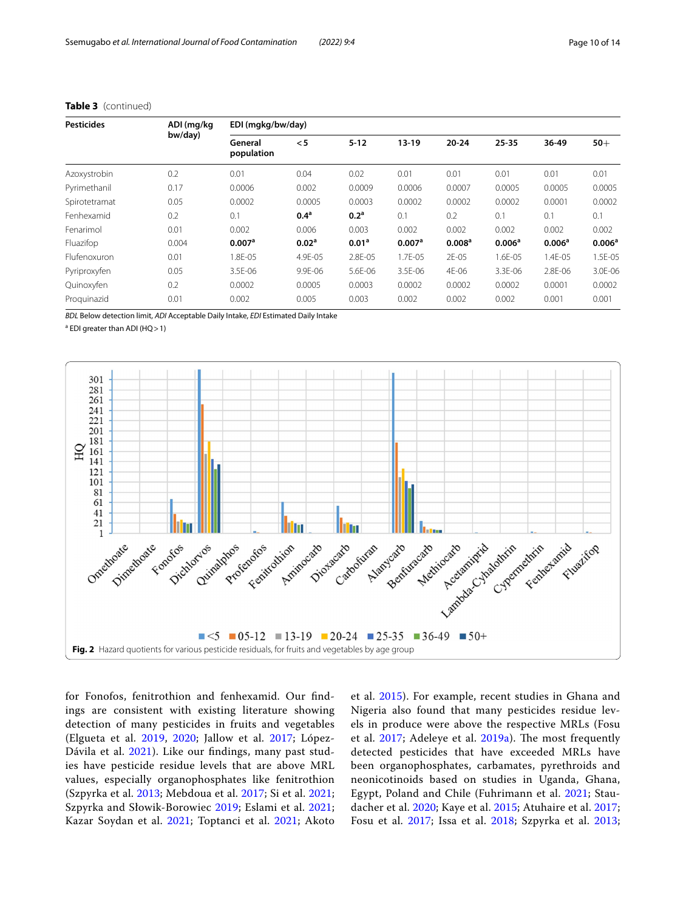| <b>Pesticides</b>   | ADI (mg/kg | EDI (mgkg/bw/day)     |                   |                   |                    |                    |                    |                    |                    |  |
|---------------------|------------|-----------------------|-------------------|-------------------|--------------------|--------------------|--------------------|--------------------|--------------------|--|
|                     | bw/day)    | General<br>population | < 5               | $5 - 12$          | $13 - 19$          | $20 - 24$          | 25-35              | 36-49              | $50+$              |  |
| Azoxystrobin        | 0.2        | 0.01                  | 0.04              | 0.02              | 0.01               | 0.01               | 0.01               | 0.01               | 0.01               |  |
| Pyrimethanil        | 0.17       | 0.0006                | 0.002             | 0.0009            | 0.0006             | 0.0007             | 0.0005             | 0.0005             | 0.0005             |  |
| Spirotetramat       | 0.05       | 0.0002                | 0.0005            | 0.0003            | 0.0002             | 0.0002             | 0.0002             | 0.0001             | 0.0002             |  |
| Fenhexamid          | 0.2        | 0.1                   | 0.4 <sup>a</sup>  | 0.2 <sup>a</sup>  | 0.1                | 0.2                | 0.1                | 0.1                | 0.1                |  |
| Fenarimol           | 0.01       | 0.002                 | 0.006             | 0.003             | 0.002              | 0.002              | 0.002              | 0.002              | 0.002              |  |
| Fluazifop           | 0.004      | 0.007 <sup>a</sup>    | 0.02 <sup>a</sup> | 0.01 <sup>a</sup> | 0.007 <sup>a</sup> | 0.008 <sup>a</sup> | 0.006 <sup>a</sup> | 0.006 <sup>a</sup> | 0.006 <sup>a</sup> |  |
| <b>Flufenoxuron</b> | 0.01       | 1.8E-05               | 4.9E-05           | 2.8E-05           | 1.7E-05            | 2E-05              | 1.6E-05            | 1.4E-05            | 1.5E-05            |  |
| Pyriproxyfen        | 0.05       | 3.5E-06               | 9.9E-06           | 5.6E-06           | 3.5E-06            | 4E-06              | 3.3E-06            | 2.8E-06            | 3.0E-06            |  |
| Quinoxyfen          | 0.2        | 0.0002                | 0.0005            | 0.0003            | 0.0002             | 0.0002             | 0.0002             | 0.0001             | 0.0002             |  |
| Proguinazid         | 0.01       | 0.002                 | 0.005             | 0.003             | 0.002              | 0.002              | 0.002              | 0.001              | 0.001              |  |

## **Table 3** (continued)

*BDL* Below detection limit, *ADI* Acceptable Daily Intake, *EDI* Estimated Daily Intake

<sup>a</sup> EDI greater than ADI (HQ > 1)



<span id="page-9-0"></span>for Fonofos, fenitrothion and fenhexamid. Our fndings are consistent with existing literature showing detection of many pesticides in fruits and vegetables (Elgueta et al. [2019](#page-11-12), [2020](#page-12-31); Jallow et al. [2017](#page-12-33); López-Dávila et al. [2021](#page-12-34)). Like our findings, many past studies have pesticide residue levels that are above MRL values, especially organophosphates like fenitrothion (Szpyrka et al. [2013](#page-13-6); Mebdoua et al. [2017;](#page-12-29) Si et al. [2021](#page-12-32); Szpyrka and Słowik-Borowiec [2019](#page-13-8); Eslami et al. [2021](#page-12-35); Kazar Soydan et al. [2021](#page-12-36); Toptanci et al. [2021;](#page-13-9) Akoto

et al. [2015\)](#page-11-13). For example, recent studies in Ghana and Nigeria also found that many pesticides residue levels in produce were above the respective MRLs (Fosu et al. [2017;](#page-12-25) Adeleye et al. [2019a](#page-11-14)). The most frequently detected pesticides that have exceeded MRLs have been organophosphates, carbamates, pyrethroids and neonicotinoids based on studies in Uganda, Ghana, Egypt, Poland and Chile (Fuhrimann et al. [2021;](#page-12-2) Staudacher et al. [2020;](#page-12-3) Kaye et al. [2015](#page-12-16); Atuhaire et al. [2017](#page-11-8); Fosu et al. [2017](#page-12-25); Issa et al. [2018;](#page-12-26) Szpyrka et al. [2013](#page-13-6);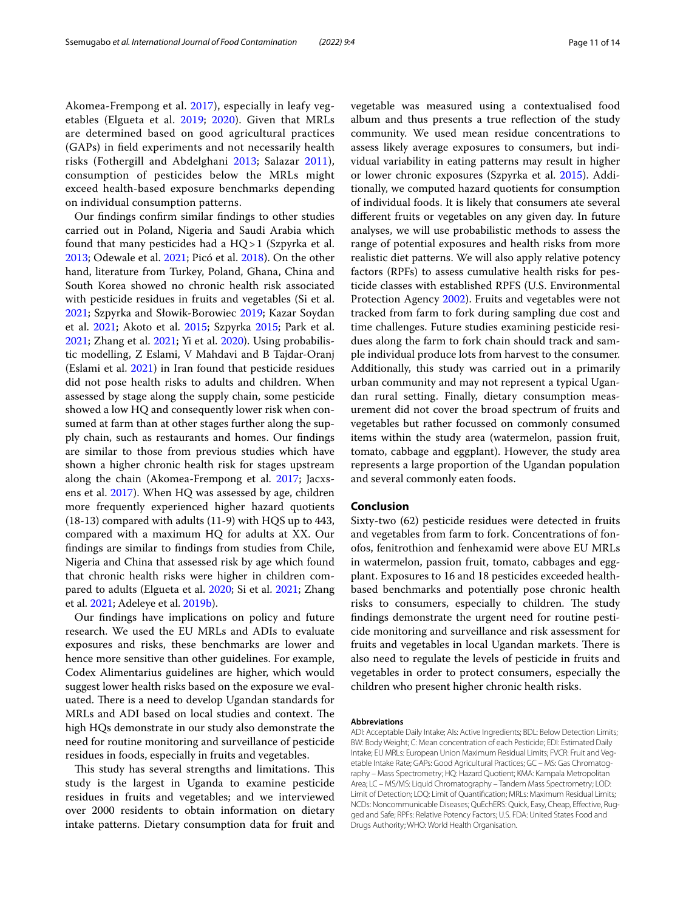Akomea-Frempong et al. [2017\)](#page-11-15), especially in leafy vegetables (Elgueta et al. [2019;](#page-11-12) [2020](#page-12-31)). Given that MRLs are determined based on good agricultural practices (GAPs) in feld experiments and not necessarily health risks (Fothergill and Abdelghani [2013;](#page-12-37) Salazar [2011\)](#page-12-38), consumption of pesticides below the MRLs might exceed health-based exposure benchmarks depending on individual consumption patterns.

Our fndings confrm similar fndings to other studies carried out in Poland, Nigeria and Saudi Arabia which found that many pesticides had a HQ>1 (Szpyrka et al. [2013](#page-13-6); Odewale et al. [2021](#page-12-39); Picó et al. [2018](#page-12-40)). On the other hand, literature from Turkey, Poland, Ghana, China and South Korea showed no chronic health risk associated with pesticide residues in fruits and vegetables (Si et al. [2021](#page-12-32); Szpyrka and Słowik-Borowiec [2019](#page-13-8); Kazar Soydan et al. [2021;](#page-12-36) Akoto et al. [2015;](#page-11-13) Szpyrka [2015;](#page-12-41) Park et al. [2021](#page-12-42); Zhang et al. [2021](#page-13-10); Yi et al. [2020](#page-13-11)). Using probabilistic modelling, Z Eslami, V Mahdavi and B Tajdar-Oranj (Eslami et al. [2021](#page-12-35)) in Iran found that pesticide residues did not pose health risks to adults and children. When assessed by stage along the supply chain, some pesticide showed a low HQ and consequently lower risk when consumed at farm than at other stages further along the supply chain, such as restaurants and homes. Our fndings are similar to those from previous studies which have shown a higher chronic health risk for stages upstream along the chain (Akomea-Frempong et al. [2017;](#page-11-15) Jacxsens et al. [2017\)](#page-12-43). When HQ was assessed by age, children more frequently experienced higher hazard quotients (18-13) compared with adults (11-9) with HQS up to 443, compared with a maximum HQ for adults at XX. Our fndings are similar to fndings from studies from Chile, Nigeria and China that assessed risk by age which found that chronic health risks were higher in children compared to adults (Elgueta et al. [2020;](#page-12-31) Si et al. [2021](#page-12-32); Zhang et al. [2021;](#page-13-10) Adeleye et al. [2019b\)](#page-11-16).

Our fndings have implications on policy and future research. We used the EU MRLs and ADIs to evaluate exposures and risks, these benchmarks are lower and hence more sensitive than other guidelines. For example, Codex Alimentarius guidelines are higher, which would suggest lower health risks based on the exposure we evaluated. There is a need to develop Ugandan standards for MRLs and ADI based on local studies and context. The high HQs demonstrate in our study also demonstrate the need for routine monitoring and surveillance of pesticide residues in foods, especially in fruits and vegetables.

This study has several strengths and limitations. This study is the largest in Uganda to examine pesticide residues in fruits and vegetables; and we interviewed over 2000 residents to obtain information on dietary intake patterns. Dietary consumption data for fruit and vegetable was measured using a contextualised food album and thus presents a true refection of the study community. We used mean residue concentrations to assess likely average exposures to consumers, but individual variability in eating patterns may result in higher or lower chronic exposures (Szpyrka et al. [2015\)](#page-13-12). Additionally, we computed hazard quotients for consumption of individual foods. It is likely that consumers ate several diferent fruits or vegetables on any given day. In future analyses, we will use probabilistic methods to assess the range of potential exposures and health risks from more realistic diet patterns. We will also apply relative potency factors (RPFs) to assess cumulative health risks for pesticide classes with established RPFS (U.S. Environmental Protection Agency [2002](#page-13-13)). Fruits and vegetables were not tracked from farm to fork during sampling due cost and time challenges. Future studies examining pesticide residues along the farm to fork chain should track and sample individual produce lots from harvest to the consumer. Additionally, this study was carried out in a primarily urban community and may not represent a typical Ugandan rural setting. Finally, dietary consumption measurement did not cover the broad spectrum of fruits and vegetables but rather focussed on commonly consumed items within the study area (watermelon, passion fruit, tomato, cabbage and eggplant). However, the study area represents a large proportion of the Ugandan population and several commonly eaten foods.

## **Conclusion**

Sixty-two (62) pesticide residues were detected in fruits and vegetables from farm to fork. Concentrations of fonofos, fenitrothion and fenhexamid were above EU MRLs in watermelon, passion fruit, tomato, cabbages and eggplant. Exposures to 16 and 18 pesticides exceeded healthbased benchmarks and potentially pose chronic health risks to consumers, especially to children. The study fndings demonstrate the urgent need for routine pesticide monitoring and surveillance and risk assessment for fruits and vegetables in local Ugandan markets. There is also need to regulate the levels of pesticide in fruits and vegetables in order to protect consumers, especially the children who present higher chronic health risks.

#### **Abbreviations**

ADI: Acceptable Daily Intake; AIs: Active Ingredients; BDL: Below Detection Limits; BW: Body Weight; C: Mean concentration of each Pesticide; EDI: Estimated Daily Intake; EU MRLs: European Union Maximum Residual Limits; FVCR: Fruit and Vegetable Intake Rate; GAPs: Good Agricultural Practices; GC – MS: Gas Chromatography – Mass Spectrometry; HQ: Hazard Quotient; KMA: Kampala Metropolitan Area; LC – MS/MS: Liquid Chromatography – Tandem Mass Spectrometry; LOD: Limit of Detection; LOQ: Limit of Quantifcation; MRLs: Maximum Residual Limits; NCDs: Noncommunicable Diseases; QuEchERS: Quick, Easy, Cheap, Efective, Rugged and Safe; RPFs: Relative Potency Factors; U.S. FDA: United States Food and Drugs Authority; WHO: World Health Organisation.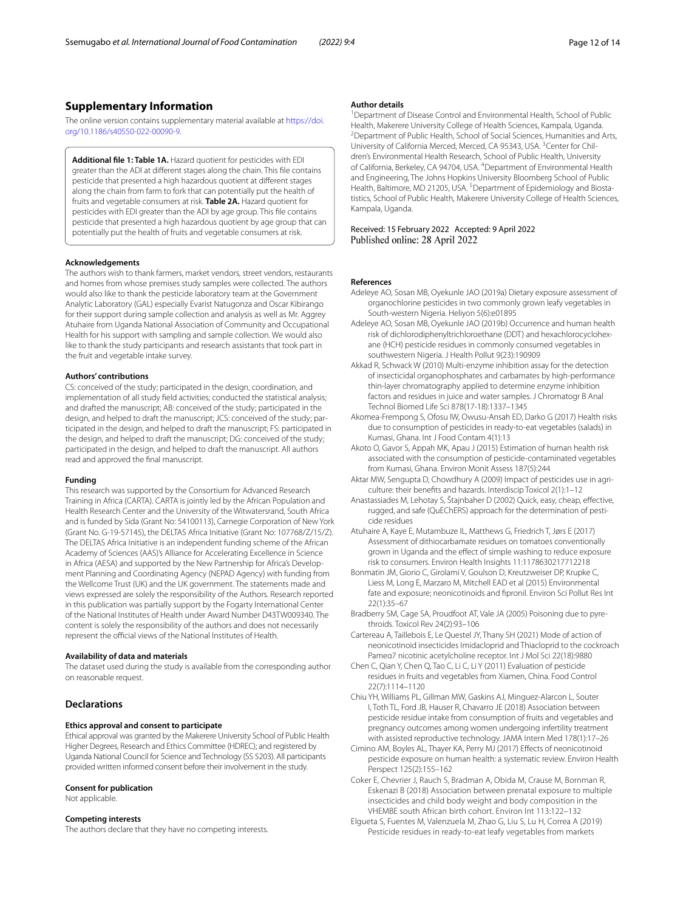# **Supplementary Information**

The online version contains supplementary material available at [https://doi.](https://doi.org/10.1186/s40550-022-00090-9) [org/10.1186/s40550-022-00090-9](https://doi.org/10.1186/s40550-022-00090-9).

<span id="page-11-9"></span>**Additional fle 1: Table 1A.** Hazard quotient for pesticides with EDI greater than the ADI at diferent stages along the chain. This fle contains pesticide that presented a high hazardous quotient at diferent stages along the chain from farm to fork that can potentially put the health of fruits and vegetable consumers at risk. **Table 2A.** Hazard quotient for pesticides with EDI greater than the ADI by age group. This fle contains pesticide that presented a high hazardous quotient by age group that can potentially put the health of fruits and vegetable consumers at risk.

#### **Acknowledgements**

The authors wish to thank farmers, market vendors, street vendors, restaurants and homes from whose premises study samples were collected. The authors would also like to thank the pesticide laboratory team at the Government Analytic Laboratory (GAL) especially Evarist Natugonza and Oscar Kibirango for their support during sample collection and analysis as well as Mr. Aggrey Atuhaire from Uganda National Association of Community and Occupational Health for his support with sampling and sample collection. We would also like to thank the study participants and research assistants that took part in the fruit and vegetable intake survey.

## **Authors' contributions**

CS: conceived of the study; participated in the design, coordination, and implementation of all study feld activities; conducted the statistical analysis; and drafted the manuscript; AB: conceived of the study; participated in the design, and helped to draft the manuscript; JCS: conceived of the study; participated in the design, and helped to draft the manuscript; FS: participated in the design, and helped to draft the manuscript; DG: conceived of the study; participated in the design, and helped to draft the manuscript. All authors read and approved the fnal manuscript.

#### **Funding**

This research was supported by the Consortium for Advanced Research Training in Africa (CARTA). CARTA is jointly led by the African Population and Health Research Center and the University of the Witwatersrand, South Africa and is funded by Sida (Grant No: 54100113), Carnegie Corporation of New York (Grant No. G-19-57145), the DELTAS Africa Initiative (Grant No: 107768/Z/15/Z). The DELTAS Africa Initiative is an independent funding scheme of the African Academy of Sciences (AAS)'s Alliance for Accelerating Excellence in Science in Africa (AESA) and supported by the New Partnership for Africa's Development Planning and Coordinating Agency (NEPAD Agency) with funding from the Wellcome Trust (UK) and the UK government. The statements made and views expressed are solely the responsibility of the Authors. Research reported in this publication was partially support by the Fogarty International Center of the National Institutes of Health under Award Number D43TW009340. The content is solely the responsibility of the authors and does not necessarily represent the official views of the National Institutes of Health.

#### **Availability of data and materials**

The dataset used during the study is available from the corresponding author on reasonable request.

# **Declarations**

#### **Ethics approval and consent to participate**

Ethical approval was granted by the Makerere University School of Public Health Higher Degrees, Research and Ethics Committee (HDREC); and registered by Uganda National Council for Science and Technology (SS 5203). All participants provided written informed consent before their involvement in the study.

#### **Consent for publication**

Not applicable.

#### **Competing interests**

The authors declare that they have no competing interests.

#### **Author details**

<sup>1</sup> Department of Disease Control and Environmental Health, School of Public Health, Makerere University College of Health Sciences, Kampala, Uganda. 2 <sup>2</sup> Department of Public Health, School of Social Sciences, Humanities and Arts, University of California Merced, Merced, CA 95343, USA.<sup>3</sup> Center for Children's Environmental Health Research, School of Public Health, University of California, Berkeley, CA 94704, USA. <sup>4</sup> Department of Environmental Health and Engineering, The Johns Hopkins University Bloomberg School of Public Health, Baltimore, MD 21205, USA. <sup>5</sup> Department of Epidemiology and Biostatistics, School of Public Health, Makerere University College of Health Sciences, Kampala, Uganda.

Received: 15 February 2022 Accepted: 9 April 2022

#### **References**

- <span id="page-11-14"></span>Adeleye AO, Sosan MB, Oyekunle JAO (2019a) Dietary exposure assessment of organochlorine pesticides in two commonly grown leafy vegetables in South-western Nigeria. Heliyon 5(6):e01895
- <span id="page-11-16"></span>Adeleye AO, Sosan MB, Oyekunle JAO (2019b) Occurrence and human health risk of dichlorodiphenyltrichloroethane (DDT) and hexachlorocyclohexane (HCH) pesticide residues in commonly consumed vegetables in southwestern Nigeria. J Health Pollut 9(23):190909
- <span id="page-11-1"></span>Akkad R, Schwack W (2010) Multi-enzyme inhibition assay for the detection of insecticidal organophosphates and carbamates by high-performance thin-layer chromatography applied to determine enzyme inhibition factors and residues in juice and water samples. J Chromatogr B Anal Technol Biomed Life Sci 878(17-18):1337–1345
- <span id="page-11-15"></span>Akomea-Frempong S, Ofosu IW, Owusu-Ansah ED, Darko G (2017) Health risks due to consumption of pesticides in ready-to-eat vegetables (salads) in Kumasi, Ghana. Int J Food Contam 4(1):13
- <span id="page-11-13"></span>Akoto O, Gavor S, Appah MK, Apau J (2015) Estimation of human health risk associated with the consumption of pesticide-contaminated vegetables from Kumasi, Ghana. Environ Monit Assess 187(5):244
- <span id="page-11-0"></span>Aktar MW, Sengupta D, Chowdhury A (2009) Impact of pesticides use in agriculture: their benefts and hazards. Interdiscip Toxicol 2(1):1–12
- <span id="page-11-10"></span>Anastassiades M, Lehotay S, Štajnbaher D (2002) Quick, easy, cheap, efective, rugged, and safe (QuEChERS) approach for the determination of pesticide residues
- <span id="page-11-8"></span>Atuhaire A, Kaye E, Mutambuze IL, Matthews G, Friedrich T, Jørs E (2017) Assessment of dithiocarbamate residues on tomatoes conventionally grown in Uganda and the efect of simple washing to reduce exposure risk to consumers. Environ Health Insights 11:1178630217712218
- <span id="page-11-2"></span>Bonmatin JM, Giorio C, Girolami V, Goulson D, Kreutzweiser DP, Krupke C, Liess M, Long E, Marzaro M, Mitchell EAD et al (2015) Environmental fate and exposure; neonicotinoids and fpronil. Environ Sci Pollut Res Int 22(1):35–67
- <span id="page-11-3"></span>Bradberry SM, Cage SA, Proudfoot AT, Vale JA (2005) Poisoning due to pyrethroids. Toxicol Rev 24(2):93–106
- <span id="page-11-4"></span>Cartereau A, Taillebois E, Le Questel JY, Thany SH (2021) Mode of action of neonicotinoid insecticides Imidacloprid and Thiacloprid to the cockroach Pameα7 nicotinic acetylcholine receptor. Int J Mol Sci 22(18):9880
- <span id="page-11-11"></span>Chen C, Qian Y, Chen Q, Tao C, Li C, Li Y (2011) Evaluation of pesticide residues in fruits and vegetables from Xiamen, China. Food Control 22(7):1114–1120
- <span id="page-11-7"></span>Chiu YH, Williams PL, Gillman MW, Gaskins AJ, Minguez-Alarcon L, Souter I, Toth TL, Ford JB, Hauser R, Chavarro JE (2018) Association between pesticide residue intake from consumption of fruits and vegetables and pregnancy outcomes among women undergoing infertility treatment with assisted reproductive technology. JAMA Intern Med 178(1):17–26
- <span id="page-11-5"></span>Cimino AM, Boyles AL, Thayer KA, Perry MJ (2017) Efects of neonicotinoid pesticide exposure on human health: a systematic review. Environ Health Perspect 125(2):155–162
- <span id="page-11-6"></span>Coker E, Chevrier J, Rauch S, Bradman A, Obida M, Crause M, Bornman R, Eskenazi B (2018) Association between prenatal exposure to multiple insecticides and child body weight and body composition in the VHEMBE south African birth cohort. Environ Int 113:122–132
- <span id="page-11-12"></span>Elgueta S, Fuentes M, Valenzuela M, Zhao G, Liu S, Lu H, Correa A (2019) Pesticide residues in ready-to-eat leafy vegetables from markets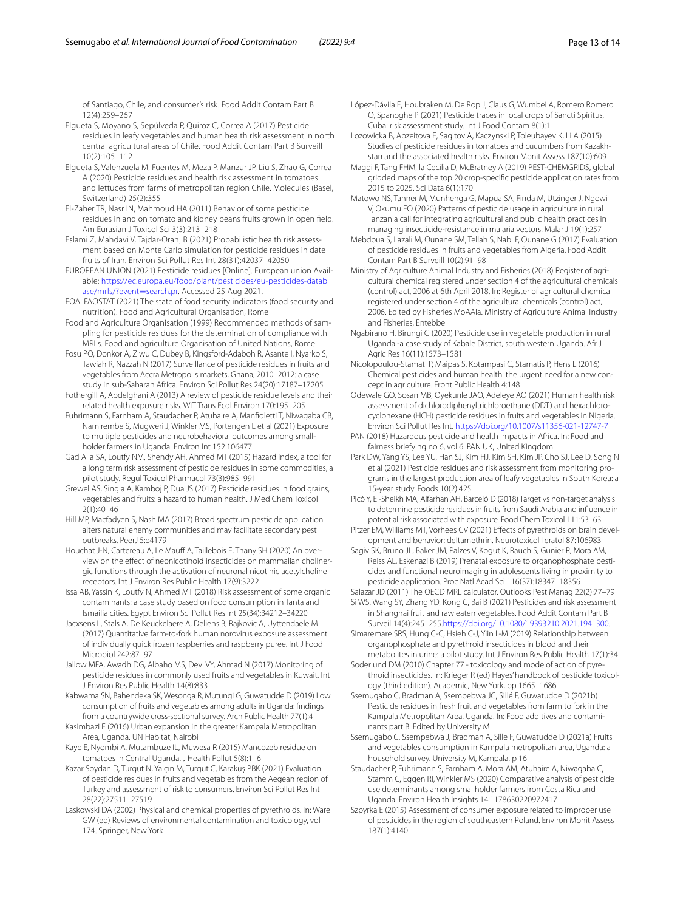of Santiago, Chile, and consumer's risk. Food Addit Contam Part B 12(4):259–267

- <span id="page-12-30"></span>Elgueta S, Moyano S, Sepúlveda P, Quiroz C, Correa A (2017) Pesticide residues in leafy vegetables and human health risk assessment in north central agricultural areas of Chile. Food Addit Contam Part B Surveill 10(2):105–112
- <span id="page-12-31"></span>Elgueta S, Valenzuela M, Fuentes M, Meza P, Manzur JP, Liu S, Zhao G, Correa A (2020) Pesticide residues and health risk assessment in tomatoes and lettuces from farms of metropolitan region Chile. Molecules (Basel, Switzerland) 25(2):355
- <span id="page-12-22"></span>El-Zaher TR, Nasr IN, Mahmoud HA (2011) Behavior of some pesticide residues in and on tomato and kidney beans fruits grown in open feld. Am Eurasian J Toxicol Sci 3(3):213–218
- <span id="page-12-35"></span>Eslami Z, Mahdavi V, Tajdar-Oranj B (2021) Probabilistic health risk assessment based on Monte Carlo simulation for pesticide residues in date fruits of Iran. Environ Sci Pollut Res Int 28(31):42037–42050
- <span id="page-12-24"></span>EUROPEAN UNION (2021) Pesticide residues [Online]. European union Available: [https://ec.europa.eu/food/plant/pesticides/eu-pesticides-datab](https://ec.europa.eu/food/plant/pesticides/eu-pesticides-database/mrls/?event=search.pr) [ase/mrls/?event](https://ec.europa.eu/food/plant/pesticides/eu-pesticides-database/mrls/?event=search.pr)=search.pr. Accessed 25 Aug 2021.
- <span id="page-12-15"></span>FOA: FAOSTAT (2021) The state of food security indicators (food security and nutrition). Food and Agricultural Organisation, Rome
- <span id="page-12-23"></span>Food and Agriculture Organisation (1999) Recommended methods of sampling for pesticide residues for the determination of compliance with MRLs. Food and agriculture Organisation of United Nations, Rome
- <span id="page-12-25"></span>Fosu PO, Donkor A, Ziwu C, Dubey B, Kingsford-Adaboh R, Asante I, Nyarko S, Tawiah R, Nazzah N (2017) Surveillance of pesticide residues in fruits and vegetables from Accra Metropolis markets, Ghana, 2010–2012: a case study in sub-Saharan Africa. Environ Sci Pollut Res 24(20):17187–17205
- <span id="page-12-37"></span>Fothergill A, Abdelghani A (2013) A review of pesticide residue levels and their related health exposure risks. WIT Trans Ecol Environ 170:195–205
- <span id="page-12-2"></span>Fuhrimann S, Farnham A, Staudacher P, Atuhaire A, Manfoletti T, Niwagaba CB, Namirembe S, Mugweri J, Winkler MS, Portengen L et al (2021) Exposure to multiple pesticides and neurobehavioral outcomes among smallholder farmers in Uganda. Environ Int 152:106477
- <span id="page-12-27"></span>Gad Alla SA, Loutfy NM, Shendy AH, Ahmed MT (2015) Hazard index, a tool for a long term risk assessment of pesticide residues in some commodities, a pilot study. Regul Toxicol Pharmacol 73(3):985–991
- <span id="page-12-17"></span>Grewel AS, Singla A, Kamboj P, Dua JS (2017) Pesticide residues in food grains, vegetables and fruits: a hazard to human health. J Med Chem Toxicol 2(1):40–46
- <span id="page-12-4"></span>Hill MP, Macfadyen S, Nash MA (2017) Broad spectrum pesticide application alters natural enemy communities and may facilitate secondary pest outbreaks. PeerJ 5:e4179
- <span id="page-12-12"></span>Houchat J-N, Cartereau A, Le Mauff A, Taillebois E, Thany SH (2020) An overview on the efect of neonicotinoid insecticides on mammalian cholinergic functions through the activation of neuronal nicotinic acetylcholine receptors. Int J Environ Res Public Health 17(9):3222
- <span id="page-12-26"></span>Issa AB, Yassin K, Loutfy N, Ahmed MT (2018) Risk assessment of some organic contaminants: a case study based on food consumption in Tanta and Ismailia cities. Egypt Environ Sci Pollut Res Int 25(34):34212–34220
- <span id="page-12-43"></span>Jacxsens L, Stals A, De Keuckelaere A, Deliens B, Rajkovic A, Uyttendaele M (2017) Quantitative farm-to-fork human norovirus exposure assessment of individually quick frozen raspberries and raspberry puree. Int J Food Microbiol 242:87–97
- <span id="page-12-33"></span>Jallow MFA, Awadh DG, Albaho MS, Devi VY, Ahmad N (2017) Monitoring of pesticide residues in commonly used fruits and vegetables in Kuwait. Int J Environ Res Public Health 14(8):833
- <span id="page-12-19"></span>Kabwama SN, Bahendeka SK, Wesonga R, Mutungi G, Guwatudde D (2019) Low consumption of fruits and vegetables among adults in Uganda: fndings from a countrywide cross-sectional survey. Arch Public Health 77(1):4
- <span id="page-12-21"></span>Kasimbazi E (2016) Urban expansion in the greater Kampala Metropolitan Area, Uganda. UN Habitat, Nairobi
- <span id="page-12-16"></span>Kaye E, Nyombi A, Mutambuze IL, Muwesa R (2015) Mancozeb residue on tomatoes in Central Uganda. J Health Pollut 5(8):1–6
- <span id="page-12-36"></span>Kazar Soydan D, Turgut N, Yalçın M, Turgut C, Karakuş PBK (2021) Evaluation of pesticide residues in fruits and vegetables from the Aegean region of Turkey and assessment of risk to consumers. Environ Sci Pollut Res Int 28(22):27511–27519
- <span id="page-12-8"></span>Laskowski DA (2002) Physical and chemical properties of pyrethroids. In: Ware GW (ed) Reviews of environmental contamination and toxicology, vol 174. Springer, New York
- <span id="page-12-34"></span>López-Dávila E, Houbraken M, De Rop J, Claus G, Wumbei A, Romero Romero O, Spanoghe P (2021) Pesticide traces in local crops of Sancti Spíritus, Cuba: risk assessment study. Int J Food Contam 8(1):1
- <span id="page-12-28"></span>Lozowicka B, Abzeitova E, Sagitov A, Kaczynski P, Toleubayev K, Li A (2015) Studies of pesticide residues in tomatoes and cucumbers from Kazakhstan and the associated health risks. Environ Monit Assess 187(10):609
- <span id="page-12-1"></span>Maggi F, Tang FHM, la Cecilia D, McBratney A (2019) PEST-CHEMGRIDS, global gridded maps of the top 20 crop-specifc pesticide application rates from 2015 to 2025. Sci Data 6(1):170
- <span id="page-12-0"></span>Matowo NS, Tanner M, Munhenga G, Mapua SA, Finda M, Utzinger J, Ngowi V, Okumu FO (2020) Patterns of pesticide usage in agriculture in rural Tanzania call for integrating agricultural and public health practices in managing insecticide-resistance in malaria vectors. Malar J 19(1):257
- <span id="page-12-29"></span>Mebdoua S, Lazali M, Ounane SM, Tellah S, Nabi F, Ounane G (2017) Evaluation of pesticide residues in fruits and vegetables from Algeria. Food Addit Contam Part B Surveill 10(2):91–98
- <span id="page-12-5"></span>Ministry of Agriculture Animal Industry and Fisheries (2018) Register of agricultural chemical registered under section 4 of the agricultural chemicals (control) act, 2006 at 6th April 2018. In: Register of agricultural chemical registered under section 4 of the agricultural chemicals (control) act, 2006. Edited by Fisheries MoAAIa. Ministry of Agriculture Animal Industry and Fisheries, Entebbe
- <span id="page-12-6"></span>Ngabirano H, Birungi G (2020) Pesticide use in vegetable production in rural Uganda -a case study of Kabale District, south western Uganda. Afr J Agric Res 16(11):1573–1581
- <span id="page-12-14"></span>Nicolopoulou-Stamati P, Maipas S, Kotampasi C, Stamatis P, Hens L (2016) Chemical pesticides and human health: the urgent need for a new concept in agriculture. Front Public Health 4:148
- <span id="page-12-39"></span>Odewale GO, Sosan MB, Oyekunle JAO, Adeleye AO (2021) Human health risk assessment of dichlorodiphenyltrichloroethane (DDT) and hexachlorocyclohexane (HCH) pesticide residues in fruits and vegetables in Nigeria. Environ Sci Pollut Res Int. <https://doi.org/10.1007/s11356-021-12747-7>
- <span id="page-12-13"></span>PAN (2018) Hazardous pesticide and health impacts in Africa. In: Food and fairness briefying no 6, vol 6. PAN UK, United Kingdom
- <span id="page-12-42"></span>Park DW, Yang YS, Lee YU, Han SJ, Kim HJ, Kim SH, Kim JP, Cho SJ, Lee D, Song N et al (2021) Pesticide residues and risk assessment from monitoring programs in the largest production area of leafy vegetables in South Korea: a 15-year study. Foods 10(2):425
- <span id="page-12-40"></span>Picó Y, El-Sheikh MA, Alfarhan AH, Barceló D (2018) Target vs non-target analysis to determine pesticide residues in fruits from Saudi Arabia and infuence in potential risk associated with exposure. Food Chem Toxicol 111:53–63
- <span id="page-12-11"></span>Pitzer EM, Williams MT, Vorhees CV (2021) Effects of pyrethroids on brain development and behavior: deltamethrin. Neurotoxicol Teratol 87:106983
- <span id="page-12-7"></span>Sagiv SK, Bruno JL, Baker JM, Palzes V, Kogut K, Rauch S, Gunier R, Mora AM, Reiss AL, Eskenazi B (2019) Prenatal exposure to organophosphate pesticides and functional neuroimaging in adolescents living in proximity to pesticide application. Proc Natl Acad Sci 116(37):18347–18356
- <span id="page-12-38"></span><span id="page-12-32"></span>Salazar JD (2011) The OECD MRL calculator. Outlooks Pest Manag 22(2):77–79 Si WS, Wang SY, Zhang YD, Kong C, Bai B (2021) Pesticides and risk assessment in Shanghai fruit and raw eaten vegetables. Food Addit Contam Part B Surveil 14(4):245–255.[https://doi.org/10.1080/19393210.2021.1941300.](https://doi.org/10.1080/19393210.2021.1941300)
- <span id="page-12-10"></span>Simaremare SRS, Hung C-C, Hsieh C-J, Yiin L-M (2019) Relationship between organophosphate and pyrethroid insecticides in blood and their metabolites in urine: a pilot study. Int J Environ Res Public Health 17(1):34
- <span id="page-12-9"></span>Soderlund DM (2010) Chapter 77 - toxicology and mode of action of pyrethroid insecticides. In: Krieger R (ed) Hayes' handbook of pesticide toxicology (third edition). Academic, New York, pp 1665–1686
- <span id="page-12-20"></span>Ssemugabo C, Bradman A, Ssempebwa JC, Sillé F, Guwatudde D (2021b) Pesticide residues in fresh fruit and vegetables from farm to fork in the Kampala Metropolitan Area, Uganda. In: Food additives and contaminants part B. Edited by University M
- <span id="page-12-18"></span>Ssemugabo C, Ssempebwa J, Bradman A, Sille F, Guwatudde D (2021a) Fruits and vegetables consumption in Kampala metropolitan area, Uganda: a household survey. University M, Kampala, p 16
- <span id="page-12-3"></span>Staudacher P, Fuhrimann S, Farnham A, Mora AM, Atuhaire A, Niwagaba C, Stamm C, Eggen RI, Winkler MS (2020) Comparative analysis of pesticide use determinants among smallholder farmers from Costa Rica and Uganda. Environ Health Insights 14:1178630220972417
- <span id="page-12-41"></span>Szpyrka E (2015) Assessment of consumer exposure related to improper use of pesticides in the region of southeastern Poland. Environ Monit Assess 187(1):4140